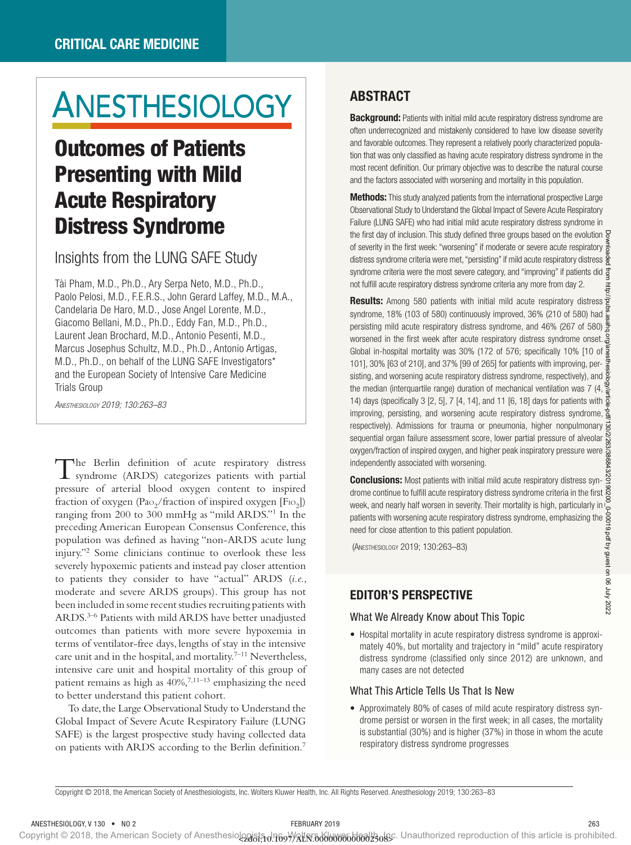# ANESTHESIOLOGY

## Outcomes of Patients Presenting with Mild Acute Respiratory Distress Syndrome

## Insights from the LUNG SAFE Study

Tài Pham, M.D., Ph.D., Ary Serpa Neto, M.D., Ph.D., Paolo Pelosi, M.D., F.E.R.S., John Gerard Laffey, M.D., M.A., Candelaria De Haro, M.D., Jose Angel Lorente, M.D., Giacomo Bellani, M.D., Ph.D., Eddy Fan, M.D., Ph.D., Laurent Jean Brochard, M.D., Antonio Pesenti, M.D., Marcus Josephus Schultz, M.D., Ph.D., Antonio Artigas, M.D., Ph.D., on behalf of the LUNG SAFE Investigators\* and the European Society of Intensive Care Medicine Trials Group

*Anesthesiology 2019; 130:263–83*

The Berlin definition of acute respiratory distress syndrome (ARDS) categorizes patients with partial pressure of arterial blood oxygen content to inspired fraction of oxygen (Pao<sub>2</sub>/fraction of inspired oxygen  $[{\rm{Fo}_2}]$ ) ranging from 200 to 300 mmHg as "mild ARDS."1 In the preceding American European Consensus Conference, this population was defined as having "non-ARDS acute lung injury."2 Some clinicians continue to overlook these less severely hypoxemic patients and instead pay closer attention to patients they consider to have "actual" ARDS (*i.e.*, moderate and severe ARDS groups). This group has not been included in some recent studies recruiting patients with ARDS.3–6 Patients with mild ARDS have better unadjusted outcomes than patients with more severe hypoxemia in terms of ventilator-free days, lengths of stay in the intensive care unit and in the hospital, and mortality.<sup>7-11</sup> Nevertheless, intensive care unit and hospital mortality of this group of patient remains as high as  $40\%,7,11-13$  emphasizing the need to better understand this patient cohort.

To date, the Large Observational Study to Understand the Global Impact of Severe Acute Respiratory Failure (LUNG SAFE) is the largest prospective study having collected data on patients with ARDS according to the Berlin definition.7

## ABSTRACT

**Background:** Patients with initial mild acute respiratory distress syndrome are often underrecognized and mistakenly considered to have low disease severity and favorable outcomes. They represent a relatively poorly characterized population that was only classified as having acute respiratory distress syndrome in the most recent definition. Our primary objective was to describe the natural course and the factors associated with worsening and mortality in this population.

**Methods:** This study analyzed patients from the international prospective Large Observational Study to Understand the Global Impact of Severe Acute Respiratory Failure (LUNG SAFE) who had initial mild acute respiratory distress syndrome in the first day of inclusion. This study defined three groups based on the evolution  $\frac{1}{5}$ of severity in the first week: "worsening" if moderate or severe acute respiratory  $\frac{3}{5}$ distress syndrome criteria were met, "persisting" if mild acute respiratory distress syndrome criteria were the most severe category, and "improving" if patients did  $\vec{z}$ not fulfill acute respiratory distress syndrome criteria any more from day 2.

Results: Among 580 patients with initial mild acute respiratory distress g syndrome, 18% (103 of 580) continuously improved, 36% (210 of 580) had persisting mild acute respiratory distress syndrome, and 46% (267 of 580) worsened in the first week after acute respiratory distress syndrome onset. & Global in-hospital mortality was 30% (172 of 576; specifically 10% [10 of 101], 30% [63 of 210], and 37% [99 of 265] for patients with improving, persisting, and worsening acute respiratory distress syndrome, respectively), and  $\frac{8}{6}$ the median (interquartile range) duration of mechanical ventilation was 7 (4,  $\frac{8}{8}$ 14) days (specifically 3 [2, 5], 7 [4, 14], and 11 [6, 18] days for patients with improving, persisting, and worsening acute respiratory distress syndrome, respectively). Admissions for trauma or pneumonia, higher nonpulmonary sequential organ failure assessment score, lower partial pressure of alveolar oxygen/fraction of inspired oxygen, and higher peak inspiratory pressure were independently associated with worsening.

Conclusions: Most patients with initial mild acute respiratory distress syndrome continue to fulfill acute respiratory distress syndrome criteria in the first  $\frac{3}{8}$ week, and nearly half worsen in severity. Their mortality is high, particularly in patients with worsening acute respiratory distress syndrome, emphasizing the need for close attention to this patient population.

(Anesthesiology 2019; 130:263–83)

## EDITOR'S PERSPECTIVE

## What We Already Know about This Topic

• Hospital mortality in acute respiratory distress syndrome is approximately 40%, but mortality and trajectory in "mild" acute respiratory distress syndrome (classified only since 2012) are unknown, and many cases are not detected

## What This Article Tells Us That Is New

• Approximately 80% of cases of mild acute respiratory distress syndrome persist or worsen in the first week; in all cases, the mortality is substantial (30%) and is higher (37%) in those in whom the acute respiratory distress syndrome progresses

Copyright © 2018, the American Society of Anesthesiologists, Inc. Wolters Kluwer Health, Inc. All Rights Reserved. Anesthesiology 2019; 130:263–83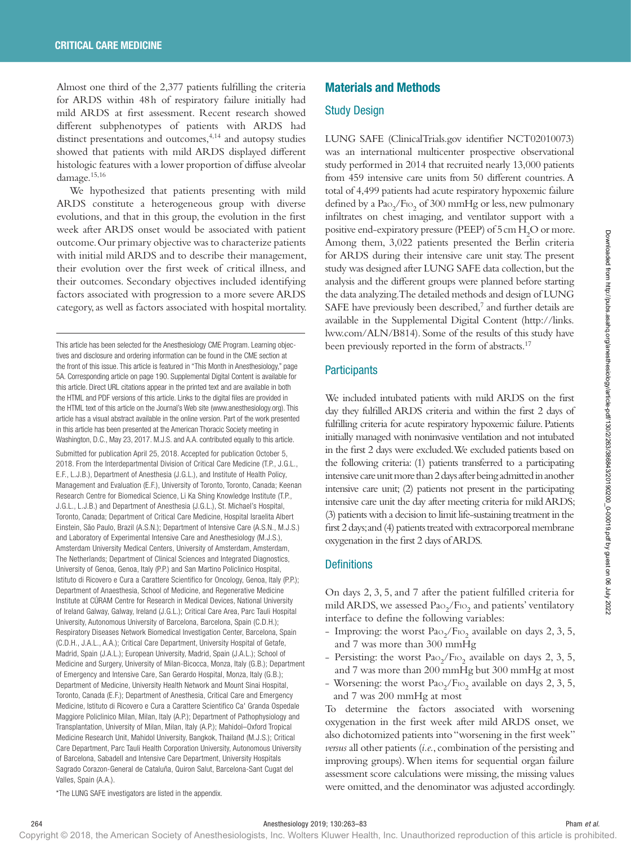Almost one third of the 2,377 patients fulfilling the criteria for ARDS within 48h of respiratory failure initially had mild ARDS at first assessment. Recent research showed different subphenotypes of patients with ARDS had distinct presentations and outcomes,<sup>4,14</sup> and autopsy studies showed that patients with mild ARDS displayed different histologic features with a lower proportion of diffuse alveolar damage.15,16

We hypothesized that patients presenting with mild ARDS constitute a heterogeneous group with diverse evolutions, and that in this group, the evolution in the first week after ARDS onset would be associated with patient outcome. Our primary objective was to characterize patients with initial mild ARDS and to describe their management, their evolution over the first week of critical illness, and their outcomes. Secondary objectives included identifying factors associated with progression to a more severe ARDS category, as well as factors associated with hospital mortality.

This article has been selected for the Anesthesiology CME Program. Learning objectives and disclosure and ordering information can be found in the CME section at the front of this issue. This article is featured in "This Month in Anesthesiology," page 5A. Corresponding article on page 190. Supplemental Digital Content is available for this article. Direct URL citations appear in the printed text and are available in both the HTML and PDF versions of this article. Links to the digital files are provided in the HTML text of this article on the Journal's Web site [\(www.anesthesiology.org](www.anesthesiology.org)). This article has a visual abstract available in the online version. Part of the work presented in this article has been presented at the American Thoracic Society meeting in Washington, D.C., May 23, 2017. M.J.S. and A.A. contributed equally to this article. Submitted for publication April 25, 2018. Accepted for publication October 5, 2018. From the Interdepartmental Division of Critical Care Medicine (T.P., J.G.L., E.F., L.J.B.), Department of Anesthesia (J.G.L.), and Institute of Health Policy, Management and Evaluation (E.F.), University of Toronto, Toronto, Canada; Keenan Research Centre for Biomedical Science, Li Ka Shing Knowledge Institute (T.P., J.G.L., L.J.B.) and Department of Anesthesia (J.G.L.), St. Michael's Hospital, Toronto, Canada; Department of Critical Care Medicine, Hospital Israelita Albert Einstein, São Paulo, Brazil (A.S.N.); Department of Intensive Care (A.S.N., M.J.S.) and Laboratory of Experimental Intensive Care and Anesthesiology (M.J.S.), Amsterdam University Medical Centers, University of Amsterdam, Amsterdam, The Netherlands; Department of Clinical Sciences and Integrated Diagnostics, University of Genoa, Genoa, Italy (P.P.) and San Martino Policlinico Hospital, Istituto di Ricovero e Cura a Carattere Scientifico for Oncology, Genoa, Italy (P.P.); Department of Anaesthesia, School of Medicine, and Regenerative Medicine Institute at CÚRAM Centre for Research in Medical Devices, National University of Ireland Galway, Galway, Ireland (J.G.L.); Critical Care Area, Parc Tauli Hospital University, Autonomous University of Barcelona, Barcelona, Spain (C.D.H.); Respiratory Diseases Network Biomedical Investigation Center, Barcelona, Spain (C.D.H., J.A.L., A.A.); Critical Care Department, University Hospital of Getafe, Madrid, Spain (J.A.L.); European University, Madrid, Spain (J.A.L.); School of Medicine and Surgery, University of Milan-Bicocca, Monza, Italy (G.B.); Department of Emergency and Intensive Care, San Gerardo Hospital, Monza, Italy (G.B.); Department of Medicine, University Health Network and Mount Sinai Hospital, Toronto, Canada (E.F.); Department of Anesthesia, Critical Care and Emergency Medicine, Istituto di Ricovero e Cura a Carattere Scientifico Ca' Granda Ospedale Maggiore Policlinico Milan, Milan, Italy (A.P.); Department of Pathophysiology and Transplantation, University of Milan, Milan, Italy (A.P.); Mahidol–Oxford Tropical Medicine Research Unit, Mahidol University, Bangkok, Thailand (M.J.S.); Critical Care Department, Parc Tauli Health Corporation University, Autonomous University of Barcelona, Sabadell and Intensive Care Department, University Hospitals Sagrado Corazon-General de Cataluña, Quiron Salut, Barcelona-Sant Cugat del Valles, Spain (A.A.).

## Materials and Methods

## Study Design

LUNG SAFE (ClinicalTrials.gov identifier NCT02010073) was an international multicenter prospective observational study performed in 2014 that recruited nearly 13,000 patients from 459 intensive care units from 50 different countries. A total of 4,499 patients had acute respiratory hypoxemic failure defined by a  $\text{Pao}_2/\text{Fio}_2$  of  $300$  mmHg or less, new pulmonary infiltrates on chest imaging, and ventilator support with a positive end-expiratory pressure (PEEP) of  $5 \, \mathrm{cm} \, \mathrm{H}_2\mathrm{O}$  or more. Among them, 3,022 patients presented the Berlin criteria for ARDS during their intensive care unit stay. The present study was designed after LUNG SAFE data collection, but the analysis and the different groups were planned before starting the data analyzing. The detailed methods and design of LUNG SAFE have previously been described,<sup>7</sup> and further details are available in the Supplemental Digital Content [\(http://links.](http://links.lww.com/ALN/B814) [lww.com/ALN/B814\)](http://links.lww.com/ALN/B814). Some of the results of this study have been previously reported in the form of abstracts.<sup>17</sup>

## **Participants**

We included intubated patients with mild ARDS on the first day they fulfilled ARDS criteria and within the first 2 days of fulfilling criteria for acute respiratory hypoxemic failure. Patients initially managed with noninvasive ventilation and not intubated in the first 2 days were excluded. We excluded patients based on the following criteria: (1) patients transferred to a participating intensive care unit more than 2 days after being admitted in another intensive care unit; (2) patients not present in the participating intensive care unit the day after meeting criteria for mild ARDS; (3) patients with a decision to limit life-sustaining treatment in the first 2 days; and (4) patients treated with extracorporeal membrane oxygenation in the first 2 days of ARDS.

## **Definitions**

On days 2, 3, 5, and 7 after the patient fulfilled criteria for mild ARDS, we assessed  $\text{Pao}_2/\text{Fio}_2$  and patients' ventilatory interface to define the following variables:

- Improving: the worst  $PaO_2/FiO_2$  available on days 2, 3, 5, and 7 was more than 300 mmHg
- Persisting: the worst  $PaO_2/FIO_2$  available on days 2, 3, 5, and 7 was more than 200 mmHg but 300 mmHg at most
- Worsening: the worst  $PaO_2/FiO_2$  available on days 2, 3, 5, and 7 was 200 mmHg at most

To determine the factors associated with worsening oxygenation in the first week after mild ARDS onset, we also dichotomized patients into "worsening in the first week" *versus* all other patients (*i.e.*, combination of the persisting and improving groups). When items for sequential organ failure assessment score calculations were missing, the missing values were omitted, and the denominator was adjusted accordingly.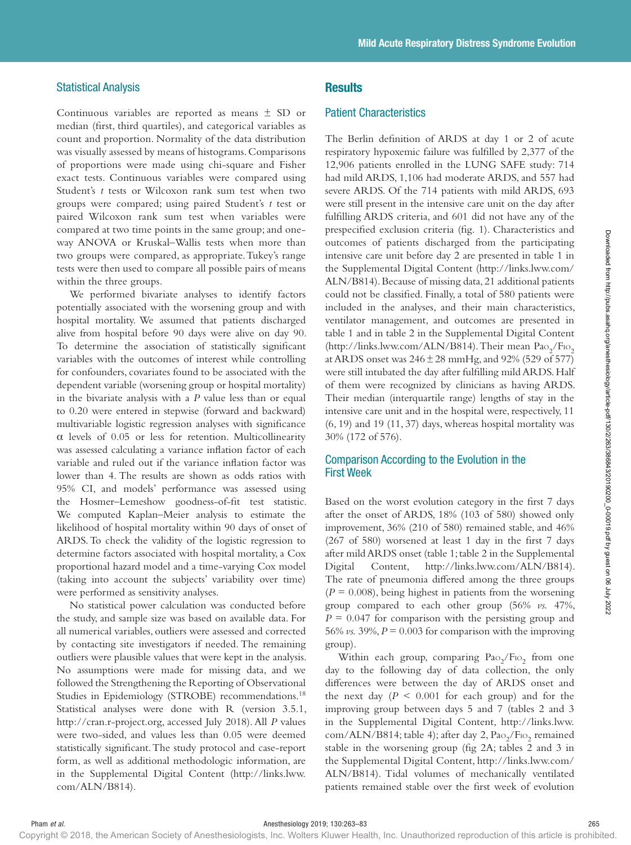## Statistical Analysis

Continuous variables are reported as means ± SD or median (first, third quartiles), and categorical variables as count and proportion. Normality of the data distribution was visually assessed by means of histograms. Comparisons of proportions were made using chi-square and Fisher exact tests. Continuous variables were compared using Student's *t* tests or Wilcoxon rank sum test when two groups were compared; using paired Student's *t* test or paired Wilcoxon rank sum test when variables were compared at two time points in the same group; and oneway ANOVA or Kruskal–Wallis tests when more than two groups were compared, as appropriate. Tukey's range tests were then used to compare all possible pairs of means within the three groups.

We performed bivariate analyses to identify factors potentially associated with the worsening group and with hospital mortality. We assumed that patients discharged alive from hospital before 90 days were alive on day 90. To determine the association of statistically significant variables with the outcomes of interest while controlling for confounders, covariates found to be associated with the dependent variable (worsening group or hospital mortality) in the bivariate analysis with a *P* value less than or equal to 0.20 were entered in stepwise (forward and backward) multivariable logistic regression analyses with significance α levels of 0.05 or less for retention. Multicollinearity was assessed calculating a variance inflation factor of each variable and ruled out if the variance inflation factor was lower than 4. The results are shown as odds ratios with 95% CI, and models' performance was assessed using the Hosmer–Lemeshow goodness-of-fit test statistic. We computed Kaplan–Meier analysis to estimate the likelihood of hospital mortality within 90 days of onset of ARDS. To check the validity of the logistic regression to determine factors associated with hospital mortality, a Cox proportional hazard model and a time-varying Cox model (taking into account the subjects' variability over time) were performed as sensitivity analyses.

No statistical power calculation was conducted before the study, and sample size was based on available data. For all numerical variables, outliers were assessed and corrected by contacting site investigators if needed. The remaining outliers were plausible values that were kept in the analysis. No assumptions were made for missing data, and we followed the Strengthening the Reporting of Observational Studies in Epidemiology (STROBE) recommendations.<sup>18</sup> Statistical analyses were done with R (version 3.5.1, <http://cran.r-project.org>, accessed July 2018). All *P* values were two-sided, and values less than 0.05 were deemed statistically significant. The study protocol and case-report form, as well as additional methodologic information, are in the Supplemental Digital Content [\(http://links.lww.](http://links.lww.com/ALN/B814) [com/ALN/B814\)](http://links.lww.com/ALN/B814).

## **Results**

## Patient Characteristics

The Berlin definition of ARDS at day 1 or 2 of acute respiratory hypoxemic failure was fulfilled by 2,377 of the 12,906 patients enrolled in the LUNG SAFE study: 714 had mild ARDS, 1,106 had moderate ARDS, and 557 had severe ARDS. Of the 714 patients with mild ARDS, 693 were still present in the intensive care unit on the day after fulfilling ARDS criteria, and 601 did not have any of the prespecified exclusion criteria (fig. 1). Characteristics and outcomes of patients discharged from the participating intensive care unit before day 2 are presented in table 1 in the Supplemental Digital Content [\(http://links.lww.com/](http://links.lww.com/ALN/B814) [ALN/B814](http://links.lww.com/ALN/B814)). Because of missing data, 21 additional patients could not be classified. Finally, a total of 580 patients were included in the analyses, and their main characteristics, ventilator management, and outcomes are presented in table 1 and in table 2 in the Supplemental Digital Content (<http://links.lww.com/ALN/B814>). Their mean  $\text{Pao}_2/\text{Fio}_2$ at ARDS onset was  $246 \pm 28$  mmHg, and 92% (529 of 577) were still intubated the day after fulfilling mild ARDS. Half of them were recognized by clinicians as having ARDS. Their median (interquartile range) lengths of stay in the intensive care unit and in the hospital were, respectively, 11 (6, 19) and 19 (11, 37) days, whereas hospital mortality was 30% (172 of 576).

## Comparison According to the Evolution in the First Week

Based on the worst evolution category in the first 7 days after the onset of ARDS, 18% (103 of 580) showed only improvement, 36% (210 of 580) remained stable, and 46% (267 of 580) worsened at least 1 day in the first 7 days after mild ARDS onset (table 1; table 2 in the Supplemental Digital Content, [http://links.lww.com/ALN/B814\)](http://links.lww.com/ALN/B814). The rate of pneumonia differed among the three groups  $(P = 0.008)$ , being highest in patients from the worsening group compared to each other group (56% *vs.* 47%,  $P = 0.047$  for comparison with the persisting group and 56%  $\nu$ s. 39%,  $P = 0.003$  for comparison with the improving group).

Within each group, comparing  $\mathrm{Pao}_2/\mathrm{Fro}_2$  from one day to the following day of data collection, the only differences were between the day of ARDS onset and the next day  $(P < 0.001$  for each group) and for the improving group between days 5 and 7 (tables 2 and 3 in the Supplemental Digital Content, [http://links.lww.](http://links.lww.com/ALN/B814) [com/ALN/B814](http://links.lww.com/ALN/B814); table 4); after day 2,  $\text{Pao}_2/\text{Fro}_2$  remained stable in the worsening group (fig 2A; tables 2 and 3 in the Supplemental Digital Content, [http://links.lww.com/](http://links.lww.com/ALN/B814) [ALN/B814\)](http://links.lww.com/ALN/B814). Tidal volumes of mechanically ventilated patients remained stable over the first week of evolution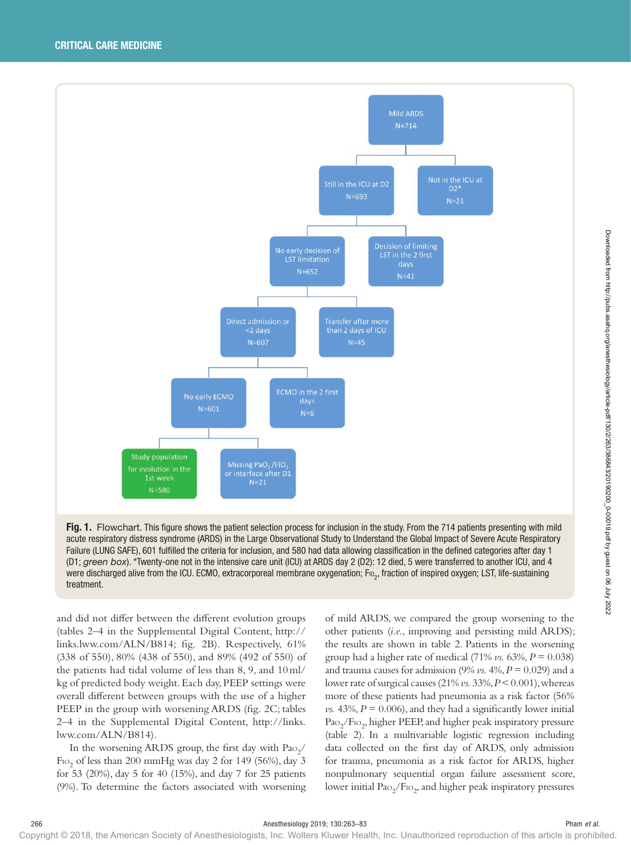

Fig. 1. Flowchart. This figure shows the patient selection process for inclusion in the study. From the 714 patients presenting with mild acute respiratory distress syndrome (ARDS) in the Large Observational Study to Understand the Global Impact of Severe Acute Respiratory Failure (LUNG SAFE), 601 fulfilled the criteria for inclusion, and 580 had data allowing classification in the defined categories after day 1 (D1; *green box*). \*Twenty-one not in the intensive care unit (ICU) at ARDS day 2 (D2): 12 died, 5 were transferred to another ICU, and 4 were discharged alive from the ICU. ECMO, extracorporeal membrane oxygenation; F10<sub>2</sub>, fraction of inspired oxygen; LST, life-sustaining treatment.

and did not differ between the different evolution groups (tables 2–4 in the Supplemental Digital Content, [http://](http://links.lww.com/ALN/B814) [links.lww.com/ALN/B814;](http://links.lww.com/ALN/B814) fig. 2B). Respectively, 61% (338 of 550), 80% (438 of 550), and 89% (492 of 550) of the patients had tidal volume of less than 8, 9, and 10ml/ kg of predicted body weight. Each day, PEEP settings were overall different between groups with the use of a higher PEEP in the group with worsening ARDS (fig. 2C; tables 2–4 in the Supplemental Digital Content, [http://links.](http://links.lww.com/ALN/B814) [lww.com/ALN/B814\)](http://links.lww.com/ALN/B814).

In the worsening ARDS group, the first day with  $\mathrm{Pa}\mathrm{o_2}/$  $\rm{F\textsc{io}}_2$  of less than 200 mmHg was day 2 for 149 (56%), day 3 for 53 (20%), day 5 for 40 (15%), and day 7 for 25 patients (9%). To determine the factors associated with worsening

of mild ARDS, we compared the group worsening to the other patients (*i.e.*, improving and persisting mild ARDS); the results are shown in table 2. Patients in the worsening group had a higher rate of medical  $(71\% \nu s. 63\%, P = 0.038)$ and trauma causes for admission (9%  $\nu s$ , 4%,  $P = 0.029$ ) and a lower rate of surgical causes (21% *vs.* 33%, *P* < 0.001), whereas more of these patients had pneumonia as a risk factor (56%  $\nu$ s. 43%,  $P = 0.006$ ), and they had a significantly lower initial  $\mathrm{Pa}\mathrm{o}_2/\mathrm{F}\mathrm{io}_2$  , higher PEEP, and higher peak inspiratory pressure (table 2). In a multivariable logistic regression including data collected on the first day of ARDS, only admission for trauma, pneumonia as a risk factor for ARDS, higher nonpulmonary sequential organ failure assessment score, lower initial  $\text{Pao}_2/\text{Fio}_2$  and higher peak inspiratory pressures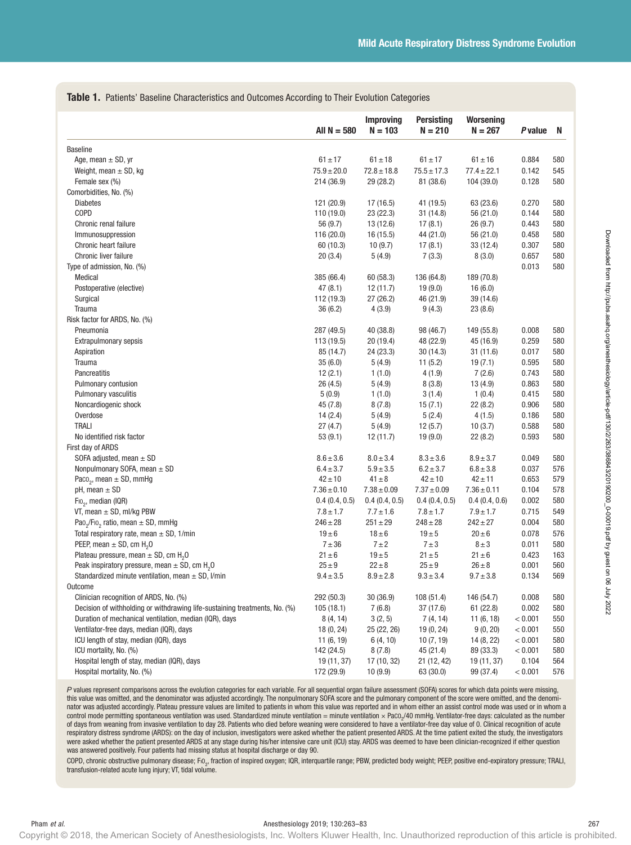|                                                                            | AII N = 580     | <b>Improving</b><br>$N = 103$ | <b>Persisting</b><br>$N = 210$ | <b>Worsening</b><br>$N = 267$ | P value | -N  |
|----------------------------------------------------------------------------|-----------------|-------------------------------|--------------------------------|-------------------------------|---------|-----|
| <b>Baseline</b>                                                            |                 |                               |                                |                               |         |     |
| Age, mean $\pm$ SD, yr                                                     | $61 \pm 17$     | $61 \pm 18$                   | $61 \pm 17$                    | $61 \pm 16$                   | 0.884   | 580 |
| Weight, mean $\pm$ SD, kg                                                  | $75.9 \pm 20.0$ | $72.8 \pm 18.8$               | $75.5 \pm 17.3$                | $77.4 \pm 22.1$               | 0.142   | 545 |
| Female sex (%)                                                             | 214 (36.9)      | 29 (28.2)                     | 81 (38.6)                      | 104 (39.0)                    | 0.128   | 580 |
| Comorbidities, No. (%)                                                     |                 |                               |                                |                               |         |     |
| <b>Diabetes</b>                                                            | 121 (20.9)      | 17(16.5)                      | 41 (19.5)                      | 63 (23.6)                     | 0.270   | 580 |
| COPD                                                                       | 110 (19.0)      | 23(22.3)                      | 31 (14.8)                      | 56 (21.0)                     | 0.144   | 580 |
| Chronic renal failure                                                      | 56 (9.7)        | 13 (12.6)                     | 17(8.1)                        | 26(9.7)                       | 0.443   | 580 |
| Immunosuppression                                                          | 116 (20.0)      | 16(15.5)                      | 44 (21.0)                      | 56 (21.0)                     | 0.458   | 580 |
| Chronic heart failure                                                      | 60 (10.3)       | 10(9.7)                       | 17(8.1)                        | 33(12.4)                      | 0.307   | 580 |
| Chronic liver failure                                                      | 20(3.4)         | 5(4.9)                        | 7(3.3)                         | 8(3.0)                        | 0.657   | 580 |
| Type of admission, No. (%)                                                 |                 |                               |                                |                               | 0.013   | 580 |
| Medical                                                                    | 385 (66.4)      | 60 (58.3)                     | 136 (64.8)                     | 189 (70.8)                    |         |     |
| Postoperative (elective)                                                   | 47 (8.1)        | 12(11.7)                      | 19(9.0)                        | 16(6.0)                       |         |     |
| Surgical                                                                   | 112 (19.3)      | 27(26.2)                      | 46 (21.9)                      | 39 (14.6)                     |         |     |
| Trauma                                                                     | 36(6.2)         | 4(3.9)                        | 9(4.3)                         | 23(8.6)                       |         |     |
| Risk factor for ARDS, No. (%)                                              |                 |                               |                                |                               |         |     |
| Pneumonia                                                                  | 287 (49.5)      | 40 (38.8)                     | 98 (46.7)                      | 149 (55.8)                    | 0.008   | 580 |
| Extrapulmonary sepsis                                                      | 113 (19.5)      | 20(19.4)                      | 48 (22.9)                      | 45 (16.9)                     | 0.259   | 580 |
| Aspiration                                                                 | 85 (14.7)       | 24 (23.3)                     | 30(14.3)                       | 31(11.6)                      | 0.017   | 580 |
| Trauma                                                                     | 35(6.0)         | 5(4.9)                        | 11(5.2)                        | 19(7.1)                       | 0.595   | 580 |
| Pancreatitis                                                               | 12(2.1)         | 1(1.0)                        | 4(1.9)                         | 7(2.6)                        | 0.743   | 580 |
| Pulmonary contusion                                                        | 26 (4.5)        | 5(4.9)                        | 8(3.8)                         | 13 (4.9)                      | 0.863   | 580 |
| Pulmonary vasculitis                                                       | 5(0.9)          | 1(1.0)                        | 3(1.4)                         | 1(0.4)                        | 0.415   | 580 |
| Noncardiogenic shock                                                       | 45 (7.8)        | 8(7.8)                        | 15(7.1)                        | 22(8.2)                       | 0.906   | 580 |
| Overdose                                                                   | 14(2.4)         | 5(4.9)                        | 5(2.4)                         | 4(1.5)                        | 0.186   | 580 |
| <b>TRALI</b>                                                               | 27(4.7)         | 5(4.9)                        | 12(5.7)                        | 10(3.7)                       | 0.588   | 580 |
| No identified risk factor                                                  | 53(9.1)         | 12 (11.7)                     | 19(9.0)                        | 22(8.2)                       | 0.593   | 580 |
| First day of ARDS                                                          |                 |                               |                                |                               |         |     |
| SOFA adjusted, mean $\pm$ SD                                               | $8.6 \pm 3.6$   | $8.0 \pm 3.4$                 | $8.3 \pm 3.6$                  | $8.9 \pm 3.7$                 | 0.049   | 580 |
| Nonpulmonary SOFA, mean ± SD                                               | $6.4 \pm 3.7$   | $5.9 \pm 3.5$                 | $6.2 \pm 3.7$                  | $6.8 \pm 3.8$                 | 0.037   | 576 |
| Paco <sub>2</sub> , mean $\pm$ SD, mmHg                                    | $42 \pm 10$     | $41 \pm 8$                    | $42 \pm 10$                    | $42 \pm 11$                   | 0.653   | 579 |
| $pH$ , mean $\pm$ SD                                                       | $7.36 \pm 0.10$ | $7.38 \pm 0.09$               | $7.37 \pm 0.09$                | $7.36 \pm 0.11$               | 0.104   | 578 |
| $FIO2$ , median (IQR)                                                      | 0.4(0.4, 0.5)   | 0.4(0.4, 0.5)                 | 0.4(0.4, 0.5)                  | 0.4(0.4, 0.6)                 | 0.002   | 580 |
| VT, mean $\pm$ SD, ml/kg PBW                                               | $7.8 \pm 1.7$   | $7.7 \pm 1.6$                 | $7.8 \pm 1.7$                  | $7.9 \pm 1.7$                 | 0.715   | 549 |
| Pao <sub>2</sub> /Fio <sub>2</sub> ratio, mean $\pm$ SD, mmHg              | $246 \pm 28$    | $251 \pm 29$                  | $248 \pm 28$                   | $242 \pm 27$                  | 0.004   | 580 |
| Total respiratory rate, mean $\pm$ SD, 1/min                               | $19 \pm 6$      | $18 \pm 6$                    | $19 \pm 5$                     | $20 \pm 6$                    | 0.078   | 576 |
| PEEP, mean $\pm$ SD, cm H <sub>2</sub> O                                   | $7 + 36$        | $7 \pm 2$                     | $7 \pm 3$                      | $8 \pm 3$                     | 0.011   | 580 |
| Plateau pressure, mean $\pm$ SD, cm H <sub>2</sub> O                       | $21 \pm 6$      | $19 \pm 5$                    | $21 \pm 5$                     | $21 \pm 6$                    | 0.423   | 163 |
| Peak inspiratory pressure, mean $\pm$ SD, cm H <sub>2</sub> O              | $25 \pm 9$      | $22 \pm 8$                    | $25 \pm 9$                     | $26 \pm 8$                    | 0.001   | 560 |
| Standardized minute ventilation, mean $\pm$ SD, I/min                      | $9.4 \pm 3.5$   | $8.9 + 2.8$                   | $9.3\pm3.4$                    | $9.7 \pm 3.8$                 | 0.134   | 569 |
| Outcome                                                                    |                 |                               |                                |                               |         |     |
| Clinician recognition of ARDS, No. (%)                                     | 292 (50.3)      | 30(36.9)                      | 108 (51.4)                     | 146 (54.7)                    | 0.008   | 580 |
| Decision of withholding or withdrawing life-sustaining treatments, No. (%) | 105(18.1)       | 7(6.8)                        | 37 (17.6)                      | 61(22.8)                      | 0.002   | 580 |
| Duration of mechanical ventilation, median (IQR), days                     | 8(4, 14)        | 3(2, 5)                       | 7(4, 14)                       | 11(6, 18)                     | < 0.001 | 550 |
| Ventilator-free days, median (IQR), days                                   | 18(0, 24)       | 25 (22, 26)                   | 19 (0, 24)                     | 9(0, 20)                      | < 0.001 | 550 |
| ICU length of stay, median (IQR), days                                     | 11(6, 19)       | 6(4, 10)                      | 10(7, 19)                      | 14 (8, 22)                    | < 0.001 | 580 |
| ICU mortality, No. (%)                                                     | 142 (24.5)      | 8(7.8)                        | 45 (21.4)                      | 89 (33.3)                     | < 0.001 | 580 |
| Hospital length of stay, median (IQR), days                                | 19 (11, 37)     | 17 (10, 32)                   | 21 (12, 42)                    | 19 (11, 37)                   | 0.104   | 564 |
| Hospital mortality, No. (%)                                                | 172 (29.9)      | 10(9.9)                       | 63 (30.0)                      | 99 (37.4)                     | < 0.001 | 576 |

Table 1. Patients' Baseline Characteristics and Outcomes According to Their Evolution Categories

*P* values represent comparisons across the evolution categories for each variable. For all sequential organ failure assessment (SOFA) scores for which data points were missing, this value was omitted, and the denominator was adjusted accordingly. The nonpulmonary SOFA score and the pulmonary component of the score were omitted, and the denominator was adjusted accordingly. Plateau pressure values are limited to patients in whom this value was reported and in whom either an assist control mode was used or in whom a control mode permitting spontaneous ventilation was used. Standardized minute ventilation = minute ventilation × PaCO<sub>2</sub>/40 mmHg. Ventilator-free days: calculated as the number of days from weaning from invasive ventilation to day 28. Patients who died before weaning were considered to have a ventilator-free day value of 0. Clinical recognition of acute respiratory distress syndrome (ARDS): on the day of inclusion, investigators were asked whether the patient presented ARDS. At the time patient exited the study, the investigators were asked whether the patient presented ARDS at any stage during his/her intensive care unit (ICU) stay. ARDS was deemed to have been clinician-recognized if either question was answered positively. Four patients had missing status at hospital discharge or day 90.

COPD, chronic obstructive pulmonary disease; FiO<sub>2</sub>, fraction of inspired oxygen; IQR, interquartile range; PBW, predicted body weight; PEEP, positive end-expiratory pressure; TRALI, transfusion-related acute lung injury; VT, tidal volume.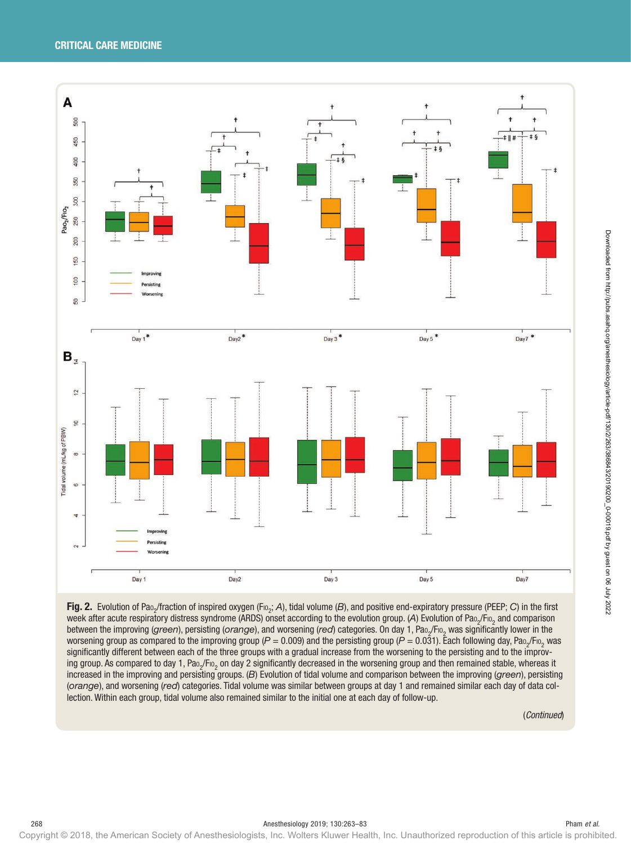

Fig. 2. Evolution of Pao<sub>2</sub>/fraction of inspired oxygen (F<sub>lo<sub>2</sub>; A), tidal volume (B), and positive end-expiratory pressure (PEEP; C) in the first</sub> week after acute respiratory distress syndrome (ARDS) onset according to the evolution group. (A) Evolution of Pao<sub>2</sub>/F<sub>102</sub> and comparison between the improving (*green*), persisting (*orange*), and worsening (*red*) categories. On day 1, Pao<sub>2</sub>/Fio<sub>2</sub> was significantly lower in the worsening group as compared to the improving group ( $P$  = 0.009) and the persisting group ( $P$  = 0.031). Each following day, Pao<sub>2</sub>/Fio<sub>2</sub> was significantly different between each of the three groups with a gradual increase from the worsening to the persisting and to the improving group. As compared to day 1, Pao $_2$ /Fıo $_2$  on day 2 significantly decreased in the worsening group and then remained stable, whereas it increased in the improving and persisting groups. (*B*) Evolution of tidal volume and comparison between the improving (*green*), persisting (*orange*), and worsening (*red*) categories. Tidal volume was similar between groups at day 1 and remained similar each day of data collection. Within each group, tidal volume also remained similar to the initial one at each day of follow-up.

(*Continued*)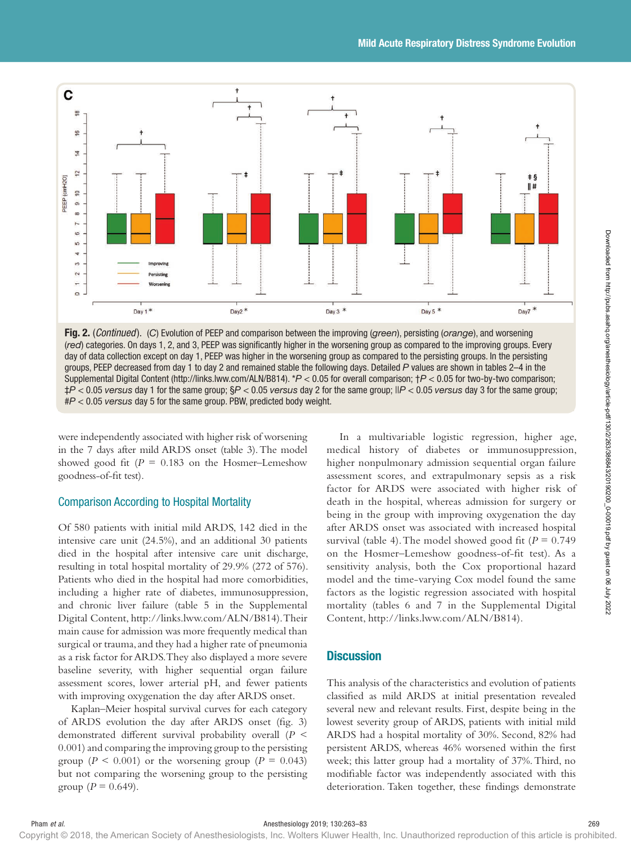

Fig. 2. (*Continued*). (C) Evolution of PEEP and comparison between the improving (*green*), persisting (*orange*), and worsening (*red*) categories. On days 1, 2, and 3, PEEP was significantly higher in the worsening group as compared to the improving groups. Every day of data collection except on day 1, PEEP was higher in the worsening group as compared to the persisting groups. In the persisting groups, PEEP decreased from day 1 to day 2 and remained stable the following days. Detailed *P* values are shown in tables 2–4 in the Supplemental Digital Content ([http://links.lww.com/ALN/B814\)](http://links.lww.com/ALN/B814). \**P* < 0.05 for overall comparison; †*P* < 0.05 for two-by-two comparison; ‡*P* < 0.05 *versus* day 1 for the same group; §*P* < 0.05 *versus* day 2 for the same group; ||*P* < 0.05 *versus* day 3 for the same group; #*P* < 0.05 *versus* day 5 for the same group. PBW, predicted body weight.

were independently associated with higher risk of worsening in the 7 days after mild ARDS onset (table 3). The model showed good fit  $(P = 0.183)$  on the Hosmer–Lemeshow goodness-of-fit test).

## Comparison According to Hospital Mortality

Of 580 patients with initial mild ARDS, 142 died in the intensive care unit (24.5%), and an additional 30 patients died in the hospital after intensive care unit discharge, resulting in total hospital mortality of 29.9% (272 of 576). Patients who died in the hospital had more comorbidities, including a higher rate of diabetes, immunosuppression, and chronic liver failure (table 5 in the Supplemental Digital Content, http://links.lww.com/ALN/B814). Their main cause for admission was more frequently medical than surgical or trauma, and they had a higher rate of pneumonia as a risk factor for ARDS. They also displayed a more severe baseline severity, with higher sequential organ failure assessment scores, lower arterial pH, and fewer patients with improving oxygenation the day after ARDS onset.

Kaplan–Meier hospital survival curves for each category of ARDS evolution the day after ARDS onset (fig. 3) demonstrated different survival probability overall (*P* < 0.001) and comparing the improving group to the persisting group ( $P < 0.001$ ) or the worsening group ( $P = 0.043$ ) but not comparing the worsening group to the persisting group ( $P = 0.649$ ).

In a multivariable logistic regression, higher age, medical history of diabetes or immunosuppression, higher nonpulmonary admission sequential organ failure assessment scores, and extrapulmonary sepsis as a risk factor for ARDS were associated with higher risk of death in the hospital, whereas admission for surgery or being in the group with improving oxygenation the day after ARDS onset was associated with increased hospital survival (table 4). The model showed good fit ( $P = 0.749$ ) on the Hosmer–Lemeshow goodness-of-fit test). As a sensitivity analysis, both the Cox proportional hazard model and the time-varying Cox model found the same factors as the logistic regression associated with hospital mortality (tables 6 and 7 in the Supplemental Digital Content,<http://links.lww.com/ALN/B814>).

## **Discussion**

This analysis of the characteristics and evolution of patients classified as mild ARDS at initial presentation revealed several new and relevant results. First, despite being in the lowest severity group of ARDS, patients with initial mild ARDS had a hospital mortality of 30%. Second, 82% had persistent ARDS, whereas 46% worsened within the first week; this latter group had a mortality of 37%. Third, no modifiable factor was independently associated with this deterioration. Taken together, these findings demonstrate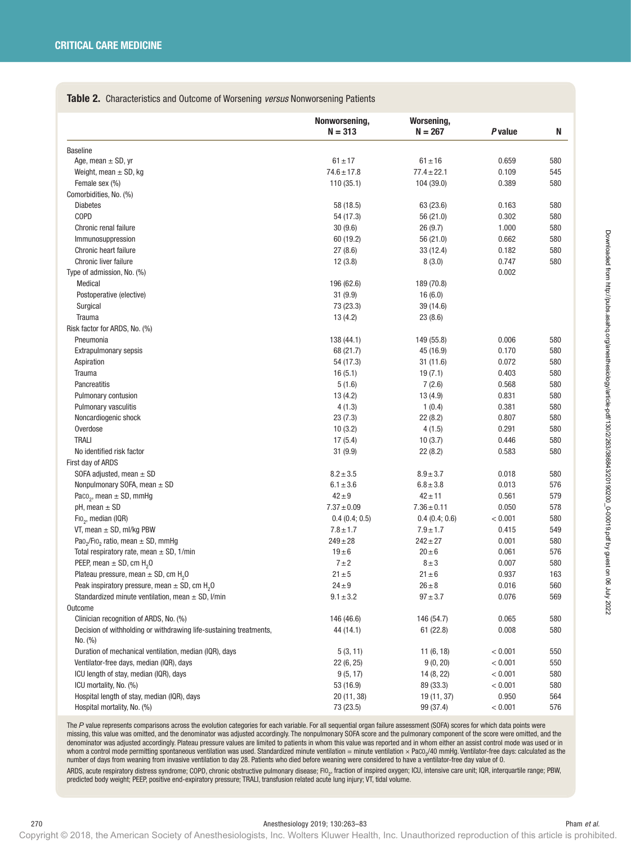Table 2. Characteristics and Outcome of Worsening *versus* Nonworsening Patients

|                                                                               | Nonworsening,<br>$N = 313$ | Worsening,<br>$N = 267$ | P value | N   |
|-------------------------------------------------------------------------------|----------------------------|-------------------------|---------|-----|
| <b>Baseline</b>                                                               |                            |                         |         |     |
| Age, mean $\pm$ SD, yr                                                        | $61 \pm 17$                | $61 \pm 16$             | 0.659   | 580 |
| Weight, mean $\pm$ SD, kg                                                     | $74.6 \pm 17.8$            | $77.4 \pm 22.1$         | 0.109   | 545 |
| Female sex (%)                                                                | 110(35.1)                  | 104 (39.0)              | 0.389   | 580 |
| Comorbidities, No. (%)                                                        |                            |                         |         |     |
| <b>Diabetes</b>                                                               | 58 (18.5)                  | 63 (23.6)               | 0.163   | 580 |
| COPD                                                                          | 54 (17.3)                  | 56 (21.0)               | 0.302   | 580 |
| Chronic renal failure                                                         | 30(9.6)                    | 26(9.7)                 | 1.000   | 580 |
| Immunosuppression                                                             | 60 (19.2)                  | 56 (21.0)               | 0.662   | 580 |
| Chronic heart failure                                                         | 27(8.6)                    | 33 (12.4)               | 0.182   | 580 |
| Chronic liver failure                                                         | 12(3.8)                    | 8(3.0)                  | 0.747   | 580 |
| Type of admission, No. (%)                                                    |                            |                         | 0.002   |     |
| Medical                                                                       | 196 (62.6)                 | 189 (70.8)              |         |     |
| Postoperative (elective)                                                      | 31(9.9)                    | 16(6.0)                 |         |     |
| Surgical                                                                      | 73 (23.3)                  | 39 (14.6)               |         |     |
| Trauma                                                                        | 13 (4.2)                   | 23(8.6)                 |         |     |
| Risk factor for ARDS, No. (%)                                                 |                            |                         |         |     |
| Pneumonia                                                                     | 138 (44.1)                 | 149 (55.8)              | 0.006   | 580 |
| Extrapulmonary sepsis                                                         | 68 (21.7)                  | 45 (16.9)               | 0.170   | 580 |
| Aspiration                                                                    | 54 (17.3)                  | 31(11.6)                | 0.072   | 580 |
| Trauma                                                                        | 16(5.1)                    | 19(7.1)                 | 0.403   | 580 |
| Pancreatitis                                                                  | 5(1.6)                     | 7(2.6)                  | 0.568   | 580 |
| Pulmonary contusion                                                           | 13(4.2)                    | 13 (4.9)                | 0.831   | 580 |
| Pulmonary vasculitis                                                          | 4(1.3)                     | 1(0.4)                  | 0.381   | 580 |
| Noncardiogenic shock                                                          | 23(7.3)                    | 22(8.2)                 | 0.807   | 580 |
| Overdose                                                                      | 10(3.2)                    | 4(1.5)                  | 0.291   | 580 |
| TRALI                                                                         | 17(5.4)                    | 10(3.7)                 | 0.446   | 580 |
| No identified risk factor                                                     | 31(9.9)                    | 22(8.2)                 | 0.583   | 580 |
| First day of ARDS                                                             |                            |                         |         |     |
| SOFA adjusted, mean $\pm$ SD                                                  | $8.2 \pm 3.5$              | $8.9 \pm 3.7$           | 0.018   | 580 |
| Nonpulmonary SOFA, mean ± SD                                                  | $6.1 \pm 3.6$              | $6.8 \pm 3.8$           | 0.013   | 576 |
| Paco <sub>2</sub> , mean $\pm$ SD, mmHg                                       | $42 \pm 9$                 | $42 \pm 11$             | 0.561   | 579 |
| $pH$ , mean $\pm$ SD                                                          | $7.37 \pm 0.09$            | $7.36 \pm 0.11$         | 0.050   | 578 |
| $FIO_2$ , median (IQR)                                                        | 0.4(0.4; 0.5)              | 0.4(0.4; 0.6)           | < 0.001 | 580 |
| VT, mean $\pm$ SD, ml/kg PBW                                                  | $7.8 \pm 1.7$              | $7.9 \pm 1.7$           | 0.415   | 549 |
| Pao <sub>2</sub> /Fio <sub>2</sub> ratio, mean $\pm$ SD, mmHg                 | $249 \pm 28$               | $242 \pm 27$            | 0.001   | 580 |
| Total respiratory rate, mean $\pm$ SD, 1/min                                  | $19 \pm 6$                 | $20 \pm 6$              | 0.061   | 576 |
| PEEP, mean $\pm$ SD, cm H <sub>2</sub> O                                      | $7 \pm 2$                  | $8 \pm 3$               | 0.007   | 580 |
| Plateau pressure, mean $\pm$ SD, cm H <sub>2</sub> O                          | $21 \pm 5$                 | $21 \pm 6$              | 0.937   | 163 |
| Peak inspiratory pressure, mean $\pm$ SD, cm H <sub>2</sub> O                 | $24 \pm 9$                 | $26 \pm 8$              | 0.016   | 560 |
| Standardized minute ventilation, mean $\pm$ SD, I/min                         | $9.1 \pm 3.2$              | $97 + 3.7$              | 0.076   | 569 |
| Outcome                                                                       |                            |                         |         |     |
| Clinician recognition of ARDS, No. (%)                                        | 146 (46.6)                 | 146 (54.7)              | 0.065   | 580 |
| Decision of withholding or withdrawing life-sustaining treatments,<br>No. (%) | 44 (14.1)                  | 61(22.8)                | 0.008   | 580 |
| Duration of mechanical ventilation, median (IQR), days                        | 5(3, 11)                   | 11(6, 18)               | < 0.001 | 550 |
| Ventilator-free days, median (IQR), days                                      | 22(6, 25)                  | 9(0, 20)                | < 0.001 | 550 |
| ICU length of stay, median (IQR), days                                        | 9(5, 17)                   | 14 (8, 22)              | < 0.001 | 580 |
| ICU mortality, No. (%)                                                        | 53 (16.9)                  | 89 (33.3)               | < 0.001 | 580 |
| Hospital length of stay, median (IQR), days                                   | 20 (11, 38)                | 19 (11, 37)             | 0.950   | 564 |
| Hospital mortality, No. (%)                                                   | 73 (23.5)                  | 99 (37.4)               | < 0.001 | 576 |

The P value represents comparisons across the evolution categories for each variable. For all sequential organ failure assessment (SOFA) scores for which data points were missing, this value was omitted, and the denominator was adjusted accordingly. The nonpulmonary SOFA score and the pulmonary component of the score were omitted, and the denominator was adjusted accordingly. Plateau pressure values are limited to patients in whom this value was reported and in whom either an assist control mode was used or in whom a control mode permitting spontaneous ventilation was used. Standardized minute ventilation = minute ventilation × PaCO<sub>2</sub>/40 mmHg. Ventilator-free days: calculated as the number of days from weaning from invasive ventilation to day 28. Patients who died before weaning were considered to have a ventilator-free day value of 0.

ARDS, acute respiratory distress syndrome; COPD, chronic obstructive pulmonary disease; Flo<sub>2</sub>, fraction of inspired oxygen; ICU, intensive care unit; IQR, interquartile range; PBW, predicted body weight; PEEP, positive end-expiratory pressure; TRALI, transfusion related acute lung injury; VT, tidal volume.

#### 270 Anesthesiology 2019; 130:263–83 Pham *et al.*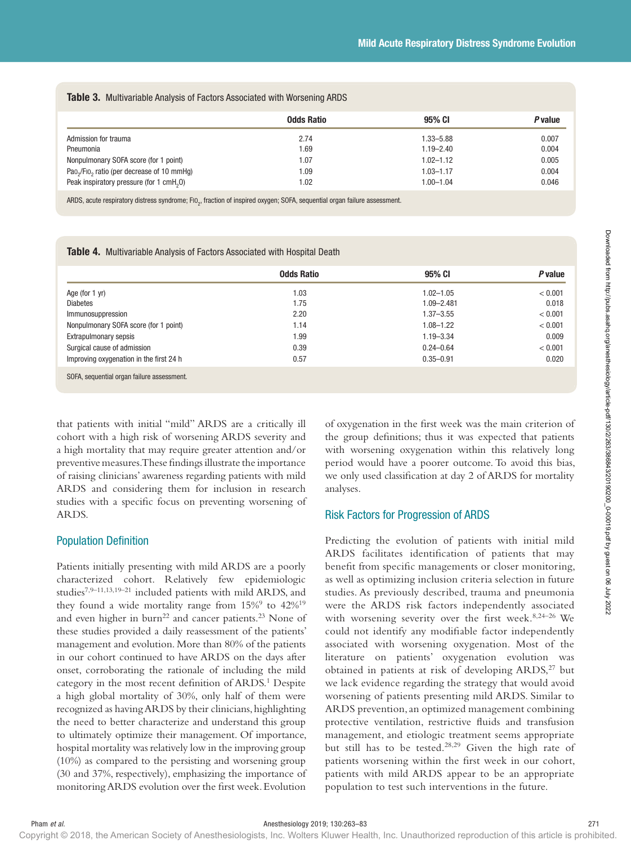|  | Table 3. Multivariable Analysis of Factors Associated with Worsening ARDS |  |
|--|---------------------------------------------------------------------------|--|
|--|---------------------------------------------------------------------------|--|

|                                                                    | <b>Odds Ratio</b> | 95% CI                         | P value        |
|--------------------------------------------------------------------|-------------------|--------------------------------|----------------|
|                                                                    |                   |                                |                |
| Admission for trauma<br>Pneumonia                                  | 2.74<br>1.69      | $1.33 - 5.88$<br>$1.19 - 2.40$ | 0.007<br>0.004 |
| Nonpulmonary SOFA score (for 1 point)                              | 1.07              | $1.02 - 1.12$                  | 0.005          |
| Pao <sub>2</sub> /Fio <sub>2</sub> ratio (per decrease of 10 mmHg) | 1.09              | $1.03 - 1.17$                  | 0.004          |
| Peak inspiratory pressure (for 1 cmH <sub>2</sub> 0)               | 1.02              | $1.00 - 1.04$                  | 0.046          |

ARDS, acute respiratory distress syndrome; F10 $_{\rm 2}$ , fraction of inspired oxygen; SOFA, sequential organ failure assessment.

Table 4. Multivariable Analysis of Factors Associated with Hospital Death

|                                            | <b>Odds Ratio</b> | 95% CI         | <b>P</b> value |
|--------------------------------------------|-------------------|----------------|----------------|
| Age (for 1 yr)                             | 1.03              | $1.02 - 1.05$  | < 0.001        |
| <b>Diabetes</b>                            | 1.75              | $1.09 - 2.481$ | 0.018          |
| Immunosuppression                          | 2.20              | $1.37 - 3.55$  | < 0.001        |
| Nonpulmonary SOFA score (for 1 point)      | 1.14              | $1.08 - 1.22$  | < 0.001        |
| Extrapulmonary sepsis                      | 1.99              | $1.19 - 3.34$  | 0.009          |
| Surgical cause of admission                | 0.39              | $0.24 - 0.64$  | < 0.001        |
| Improving oxygenation in the first 24 h    | 0.57              | $0.35 - 0.91$  | 0.020          |
| SOFA, sequential organ failure assessment. |                   |                |                |

that patients with initial "mild" ARDS are a critically ill cohort with a high risk of worsening ARDS severity and a high mortality that may require greater attention and/or preventive measures. These findings illustrate the importance of raising clinicians' awareness regarding patients with mild ARDS and considering them for inclusion in research studies with a specific focus on preventing worsening of ARDS.

## Population Definition

Patients initially presenting with mild ARDS are a poorly characterized cohort. Relatively few epidemiologic studies7,9–11,13,19–21 included patients with mild ARDS, and they found a wide mortality range from  $15\%^9$  to  $42\%^{19}$ and even higher in burn<sup>22</sup> and cancer patients.<sup>23</sup> None of these studies provided a daily reassessment of the patients' management and evolution. More than 80% of the patients in our cohort continued to have ARDS on the days after onset, corroborating the rationale of including the mild category in the most recent definition of ARDS.<sup>1</sup> Despite a high global mortality of 30%, only half of them were recognized as having ARDS by their clinicians, highlighting the need to better characterize and understand this group to ultimately optimize their management. Of importance, hospital mortality was relatively low in the improving group (10%) as compared to the persisting and worsening group (30 and 37%, respectively), emphasizing the importance of monitoring ARDS evolution over the first week. Evolution

of oxygenation in the first week was the main criterion of the group definitions; thus it was expected that patients with worsening oxygenation within this relatively long period would have a poorer outcome. To avoid this bias, we only used classification at day 2 of ARDS for mortality analyses.

## Risk Factors for Progression of ARDS

Predicting the evolution of patients with initial mild ARDS facilitates identification of patients that may benefit from specific managements or closer monitoring, as well as optimizing inclusion criteria selection in future studies. As previously described, trauma and pneumonia were the ARDS risk factors independently associated with worsening severity over the first week.<sup>8,24-26</sup> We could not identify any modifiable factor independently associated with worsening oxygenation. Most of the literature on patients' oxygenation evolution was obtained in patients at risk of developing  $ARDS<sub>1</sub><sup>27</sup>$  but we lack evidence regarding the strategy that would avoid worsening of patients presenting mild ARDS. Similar to ARDS prevention, an optimized management combining protective ventilation, restrictive fluids and transfusion management, and etiologic treatment seems appropriate but still has to be tested.<sup>28,29</sup> Given the high rate of patients worsening within the first week in our cohort, patients with mild ARDS appear to be an appropriate population to test such interventions in the future.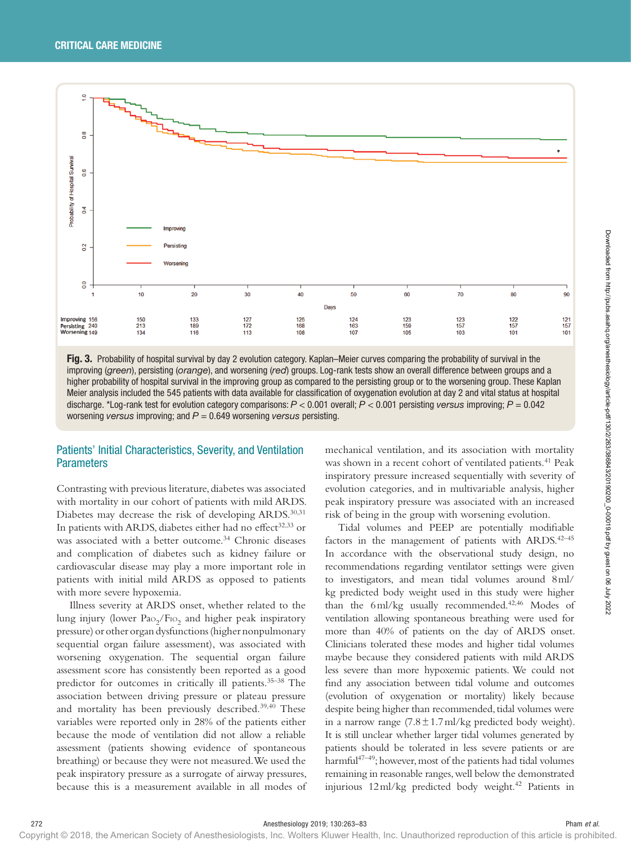

Fig. 3. Probability of hospital survival by day 2 evolution category. Kaplan–Meier curves comparing the probability of survival in the improving (*green*), persisting (*orange*), and worsening (*red*) groups. Log-rank tests show an overall difference between groups and a higher probability of hospital survival in the improving group as compared to the persisting group or to the worsening group. These Kaplan Meier analysis included the 545 patients with data available for classification of oxygenation evolution at day 2 and vital status at hospital discharge. \*Log-rank test for evolution category comparisons: *P* < 0.001 overall; *P* < 0.001 persisting *versus* improving; *P* = 0.042 worsening *versus* improving; and *P* = 0.649 worsening *versus* persisting.

## Patients' Initial Characteristics, Severity, and Ventilation **Parameters**

Contrasting with previous literature, diabetes was associated with mortality in our cohort of patients with mild ARDS. Diabetes may decrease the risk of developing ARDS.<sup>30,31</sup> In patients with ARDS, diabetes either had no effect<sup>32,33</sup> or was associated with a better outcome.<sup>34</sup> Chronic diseases and complication of diabetes such as kidney failure or cardiovascular disease may play a more important role in patients with initial mild ARDS as opposed to patients with more severe hypoxemia.

Illness severity at ARDS onset, whether related to the lung injury (lower  $\text{Pao}_2/\text{Fio}_2$  and higher peak inspiratory pressure) or other organ dysfunctions (higher nonpulmonary sequential organ failure assessment), was associated with worsening oxygenation. The sequential organ failure assessment score has consistently been reported as a good predictor for outcomes in critically ill patients.35–38 The association between driving pressure or plateau pressure and mortality has been previously described.<sup>39,40</sup> These variables were reported only in 28% of the patients either because the mode of ventilation did not allow a reliable assessment (patients showing evidence of spontaneous breathing) or because they were not measured. We used the peak inspiratory pressure as a surrogate of airway pressures, because this is a measurement available in all modes of

mechanical ventilation, and its association with mortality was shown in a recent cohort of ventilated patients.<sup>41</sup> Peak inspiratory pressure increased sequentially with severity of evolution categories, and in multivariable analysis, higher peak inspiratory pressure was associated with an increased risk of being in the group with worsening evolution.

Tidal volumes and PEEP are potentially modifiable factors in the management of patients with ARDS. $42-45$ In accordance with the observational study design, no recommendations regarding ventilator settings were given to investigators, and mean tidal volumes around 8ml/ kg predicted body weight used in this study were higher than the 6ml/kg usually recommended.<sup>42,46</sup> Modes of ventilation allowing spontaneous breathing were used for more than 40% of patients on the day of ARDS onset. Clinicians tolerated these modes and higher tidal volumes maybe because they considered patients with mild ARDS less severe than more hypoxemic patients. We could not find any association between tidal volume and outcomes (evolution of oxygenation or mortality) likely because despite being higher than recommended, tidal volumes were in a narrow range  $(7.8 \pm 1.7 \text{ ml/kg})$  predicted body weight). It is still unclear whether larger tidal volumes generated by patients should be tolerated in less severe patients or are harmful<sup>47–49</sup>; however, most of the patients had tidal volumes remaining in reasonable ranges, well below the demonstrated injurious  $12 \text{ ml/kg}$  predicted body weight.<sup>42</sup> Patients in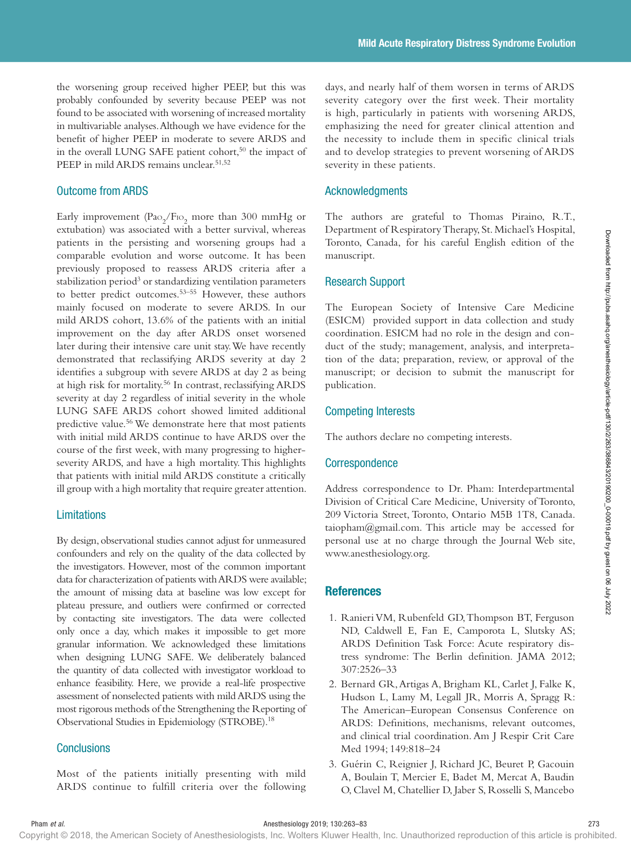the worsening group received higher PEEP, but this was probably confounded by severity because PEEP was not found to be associated with worsening of increased mortality in multivariable analyses. Although we have evidence for the benefit of higher PEEP in moderate to severe ARDS and in the overall LUNG SAFE patient cohort,<sup>50</sup> the impact of PEEP in mild ARDS remains unclear.<sup>51,52</sup>

## Outcome from ARDS

Early improvement  $(\text{Pao}_2/\text{Fio}_2$  more than  $300$  mmHg or extubation) was associated with a better survival, whereas patients in the persisting and worsening groups had a comparable evolution and worse outcome. It has been previously proposed to reassess ARDS criteria after a stabilization period<sup>3</sup> or standardizing ventilation parameters to better predict outcomes.53–55 However, these authors mainly focused on moderate to severe ARDS. In our mild ARDS cohort, 13.6% of the patients with an initial improvement on the day after ARDS onset worsened later during their intensive care unit stay. We have recently demonstrated that reclassifying ARDS severity at day 2 identifies a subgroup with severe ARDS at day 2 as being at high risk for mortality.56 In contrast, reclassifying ARDS severity at day 2 regardless of initial severity in the whole LUNG SAFE ARDS cohort showed limited additional predictive value.<sup>56</sup> We demonstrate here that most patients with initial mild ARDS continue to have ARDS over the course of the first week, with many progressing to higherseverity ARDS, and have a high mortality. This highlights that patients with initial mild ARDS constitute a critically ill group with a high mortality that require greater attention.

## Limitations

By design, observational studies cannot adjust for unmeasured confounders and rely on the quality of the data collected by the investigators. However, most of the common important data for characterization of patients with ARDS were available; the amount of missing data at baseline was low except for plateau pressure, and outliers were confirmed or corrected by contacting site investigators. The data were collected only once a day, which makes it impossible to get more granular information. We acknowledged these limitations when designing LUNG SAFE. We deliberately balanced the quantity of data collected with investigator workload to enhance feasibility. Here, we provide a real-life prospective assessment of nonselected patients with mild ARDS using the most rigorous methods of the Strengthening the Reporting of Observational Studies in Epidemiology (STROBE).18

## **Conclusions**

Most of the patients initially presenting with mild ARDS continue to fulfill criteria over the following days, and nearly half of them worsen in terms of ARDS severity category over the first week. Their mortality is high, particularly in patients with worsening ARDS, emphasizing the need for greater clinical attention and the necessity to include them in specific clinical trials and to develop strategies to prevent worsening of ARDS severity in these patients.

## Acknowledgments

The authors are grateful to Thomas Piraino, R.T., Department of Respiratory Therapy, St. Michael's Hospital, Toronto, Canada, for his careful English edition of the manuscript.

## Research Support

The European Society of Intensive Care Medicine (ESICM) provided support in data collection and study coordination. ESICM had no role in the design and conduct of the study; management, analysis, and interpretation of the data; preparation, review, or approval of the manuscript; or decision to submit the manuscript for publication.

## Competing Interests

The authors declare no competing interests.

## **Correspondence**

Address correspondence to Dr. Pham: Interdepartmental Division of Critical Care Medicine, University of Toronto, 209 Victoria Street, Toronto, Ontario M5B 1T8, Canada. [taiopham@gmail.com](mailto:taiopham@gmail.com). This article may be accessed for personal use at no charge through the Journal Web site, www.anesthesiology.org.

## **References**

- 1. Ranieri VM, Rubenfeld GD, Thompson BT, Ferguson ND, Caldwell E, Fan E, Camporota L, Slutsky AS; ARDS Definition Task Force: Acute respiratory distress syndrome: The Berlin definition. JAMA 2012; 307:2526–33
- 2. Bernard GR, Artigas A, Brigham KL, Carlet J, Falke K, Hudson L, Lamy M, Legall JR, Morris A, Spragg R: The American–European Consensus Conference on ARDS: Definitions, mechanisms, relevant outcomes, and clinical trial coordination. Am J Respir Crit Care Med 1994; 149:818–24
- 3. Guérin C, Reignier J, Richard JC, Beuret P, Gacouin A, Boulain T, Mercier E, Badet M, Mercat A, Baudin O, Clavel M, Chatellier D, Jaber S, Rosselli S, Mancebo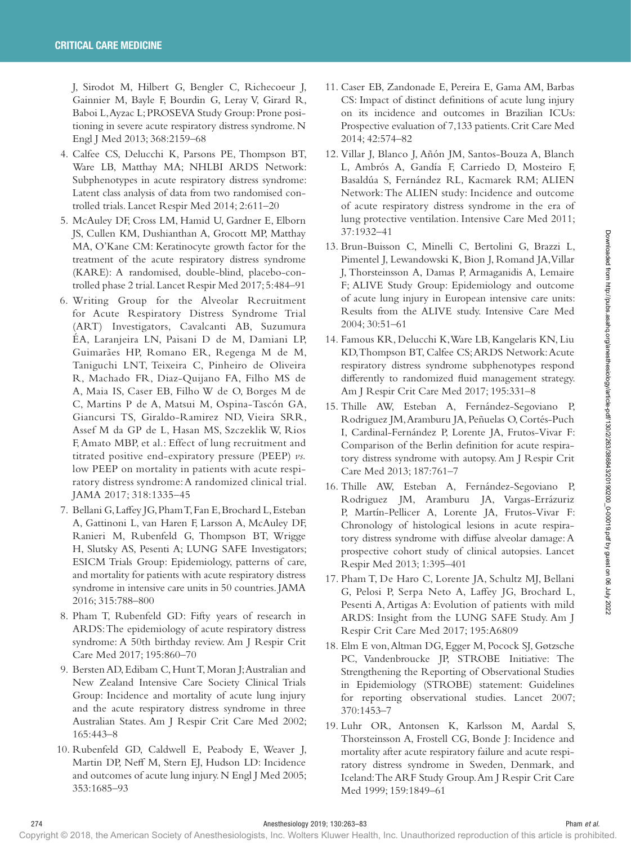J, Sirodot M, Hilbert G, Bengler C, Richecoeur J, Gainnier M, Bayle F, Bourdin G, Leray V, Girard R, Baboi L, Ayzac L; PROSEVA Study Group: Prone positioning in severe acute respiratory distress syndrome. N Engl J Med 2013; 368:2159–68

- 4. Calfee CS, Delucchi K, Parsons PE, Thompson BT, Ware LB, Matthay MA; NHLBI ARDS Network: Subphenotypes in acute respiratory distress syndrome: Latent class analysis of data from two randomised controlled trials. Lancet Respir Med 2014; 2:611–20
- 5. McAuley DF, Cross LM, Hamid U, Gardner E, Elborn JS, Cullen KM, Dushianthan A, Grocott MP, Matthay MA, O'Kane CM: Keratinocyte growth factor for the treatment of the acute respiratory distress syndrome (KARE): A randomised, double-blind, placebo-controlled phase 2 trial. Lancet Respir Med 2017; 5:484–91
- 6. Writing Group for the Alveolar Recruitment for Acute Respiratory Distress Syndrome Trial (ART) Investigators, Cavalcanti AB, Suzumura ÉA, Laranjeira LN, Paisani D de M, Damiani LP, Guimarães HP, Romano ER, Regenga M de M, Taniguchi LNT, Teixeira C, Pinheiro de Oliveira R, Machado FR, Diaz-Quijano FA, Filho MS de A, Maia IS, Caser EB, Filho W de O, Borges M de C, Martins P de A, Matsui M, Ospina-Tascón GA, Giancursi TS, Giraldo-Ramirez ND, Vieira SRR, Assef M da GP de L, Hasan MS, Szczeklik W, Rios F, Amato MBP, et al.: Effect of lung recruitment and titrated positive end-expiratory pressure (PEEP) *vs.* low PEEP on mortality in patients with acute respiratory distress syndrome: A randomized clinical trial. JAMA 2017; 318:1335–45
- 7. Bellani G, Laffey JG, Pham T, Fan E, Brochard L, Esteban A, Gattinoni L, van Haren F, Larsson A, McAuley DF, Ranieri M, Rubenfeld G, Thompson BT, Wrigge H, Slutsky AS, Pesenti A; LUNG SAFE Investigators; ESICM Trials Group: Epidemiology, patterns of care, and mortality for patients with acute respiratory distress syndrome in intensive care units in 50 countries. JAMA 2016; 315:788–800
- 8. Pham T, Rubenfeld GD: Fifty years of research in ARDS: The epidemiology of acute respiratory distress syndrome: A 50th birthday review. Am J Respir Crit Care Med 2017; 195:860–70
- 9. Bersten AD, Edibam C, Hunt T, Moran J; Australian and New Zealand Intensive Care Society Clinical Trials Group: Incidence and mortality of acute lung injury and the acute respiratory distress syndrome in three Australian States. Am J Respir Crit Care Med 2002; 165:443–8
- 10. Rubenfeld GD, Caldwell E, Peabody E, Weaver J, Martin DP, Neff M, Stern EJ, Hudson LD: Incidence and outcomes of acute lung injury. N Engl J Med 2005; 353:1685–93
- 11. Caser EB, Zandonade E, Pereira E, Gama AM, Barbas CS: Impact of distinct definitions of acute lung injury on its incidence and outcomes in Brazilian ICUs: Prospective evaluation of 7,133 patients. Crit Care Med 2014; 42:574–82
- 12. Villar J, Blanco J, Añón JM, Santos-Bouza A, Blanch L, Ambrós A, Gandía F, Carriedo D, Mosteiro F, Basaldúa S, Fernández RL, Kacmarek RM; ALIEN Network: The ALIEN study: Incidence and outcome of acute respiratory distress syndrome in the era of lung protective ventilation. Intensive Care Med 2011; 37:1932–41
- 13. Brun-Buisson C, Minelli C, Bertolini G, Brazzi L, Pimentel J, Lewandowski K, Bion J, Romand JA, Villar J, Thorsteinsson A, Damas P, Armaganidis A, Lemaire F; ALIVE Study Group: Epidemiology and outcome of acute lung injury in European intensive care units: Results from the ALIVE study. Intensive Care Med 2004; 30:51–61
- 14. Famous KR, Delucchi K, Ware LB, Kangelaris KN, Liu KD, Thompson BT, Calfee CS; ARDS Network: Acute respiratory distress syndrome subphenotypes respond differently to randomized fluid management strategy. Am J Respir Crit Care Med 2017; 195:331–8
- 15. Thille AW, Esteban A, Fernández-Segoviano P, Rodriguez JM, Aramburu JA, Peñuelas O, Cortés-Puch I, Cardinal-Fernández P, Lorente JA, Frutos-Vivar F: Comparison of the Berlin definition for acute respiratory distress syndrome with autopsy. Am J Respir Crit Care Med 2013; 187:761–7
- 16. Thille AW, Esteban A, Fernández-Segoviano P, Rodriguez JM, Aramburu JA, Vargas-Errázuriz P, Martín-Pellicer A, Lorente JA, Frutos-Vivar F: Chronology of histological lesions in acute respiratory distress syndrome with diffuse alveolar damage: A prospective cohort study of clinical autopsies. Lancet Respir Med 2013; 1:395–401
- 17. Pham T, De Haro C, Lorente JA, Schultz MJ, Bellani G, Pelosi P, Serpa Neto A, Laffey JG, Brochard L, Pesenti A, Artigas A: Evolution of patients with mild ARDS: Insight from the LUNG SAFE Study. Am J Respir Crit Care Med 2017; 195:A6809
- 18. Elm E von, Altman DG, Egger M, Pocock SJ, Gøtzsche PC, Vandenbroucke JP, STROBE Initiative: The Strengthening the Reporting of Observational Studies in Epidemiology (STROBE) statement: Guidelines for reporting observational studies. Lancet 2007; 370:1453–7
- 19. Luhr OR, Antonsen K, Karlsson M, Aardal S, Thorsteinsson A, Frostell CG, Bonde J: Incidence and mortality after acute respiratory failure and acute respiratory distress syndrome in Sweden, Denmark, and Iceland: The ARF Study Group. Am J Respir Crit Care Med 1999; 159:1849–61

274 Anesthesiology 2019; 130:263–83 Pham *et al.*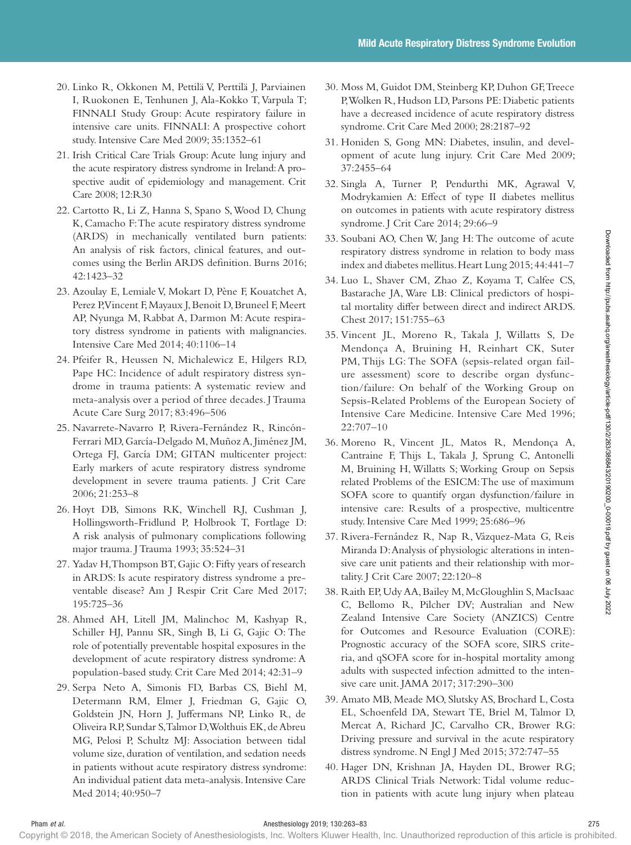- 20. Linko R, Okkonen M, Pettilä V, Perttilä J, Parviainen I, Ruokonen E, Tenhunen J, Ala-Kokko T, Varpula T; FINNALI Study Group: Acute respiratory failure in intensive care units. FINNALI: A prospective cohort study. Intensive Care Med 2009; 35:1352–61
- 21. Irish Critical Care Trials Group: Acute lung injury and the acute respiratory distress syndrome in Ireland: A prospective audit of epidemiology and management. Crit Care 2008; 12:R30
- 22. Cartotto R, Li Z, Hanna S, Spano S, Wood D, Chung K, Camacho F: The acute respiratory distress syndrome (ARDS) in mechanically ventilated burn patients: An analysis of risk factors, clinical features, and outcomes using the Berlin ARDS definition. Burns 2016; 42:1423–32
- 23. Azoulay E, Lemiale V, Mokart D, Pène F, Kouatchet A, Perez P, Vincent F, Mayaux J, Benoit D, Bruneel F, Meert AP, Nyunga M, Rabbat A, Darmon M: Acute respiratory distress syndrome in patients with malignancies. Intensive Care Med 2014; 40:1106–14
- 24. Pfeifer R, Heussen N, Michalewicz E, Hilgers RD, Pape HC: Incidence of adult respiratory distress syndrome in trauma patients: A systematic review and meta-analysis over a period of three decades. J Trauma Acute Care Surg 2017; 83:496–506
- 25. Navarrete-Navarro P, Rivera-Fernández R, Rincón-Ferrari MD, García-Delgado M, Muñoz A, Jiménez JM, Ortega FJ, García DM; GITAN multicenter project: Early markers of acute respiratory distress syndrome development in severe trauma patients. J Crit Care 2006; 21:253–8
- 26. Hoyt DB, Simons RK, Winchell RJ, Cushman J, Hollingsworth-Fridlund P, Holbrook T, Fortlage D: A risk analysis of pulmonary complications following major trauma. J Trauma 1993; 35:524–31
- 27. Yadav H, Thompson BT, Gajic O: Fifty years of research in ARDS: Is acute respiratory distress syndrome a preventable disease? Am J Respir Crit Care Med 2017; 195:725–36
- 28. Ahmed AH, Litell JM, Malinchoc M, Kashyap R, Schiller HJ, Pannu SR, Singh B, Li G, Gajic O: The role of potentially preventable hospital exposures in the development of acute respiratory distress syndrome: A population-based study. Crit Care Med 2014; 42:31–9
- 29. Serpa Neto A, Simonis FD, Barbas CS, Biehl M, Determann RM, Elmer J, Friedman G, Gajic O, Goldstein JN, Horn J, Juffermans NP, Linko R, de Oliveira RP, Sundar S, Talmor D, Wolthuis EK, de Abreu MG, Pelosi P, Schultz MJ: Association between tidal volume size, duration of ventilation, and sedation needs in patients without acute respiratory distress syndrome: An individual patient data meta-analysis. Intensive Care Med 2014; 40:950–7
- 30. Moss M, Guidot DM, Steinberg KP, Duhon GF, Treece P, Wolken R, Hudson LD, Parsons PE: Diabetic patients have a decreased incidence of acute respiratory distress syndrome. Crit Care Med 2000; 28:2187–92
- 31. Honiden S, Gong MN: Diabetes, insulin, and development of acute lung injury. Crit Care Med 2009; 37:2455–64
- 32. Singla A, Turner P, Pendurthi MK, Agrawal V, Modrykamien A: Effect of type II diabetes mellitus on outcomes in patients with acute respiratory distress syndrome. J Crit Care 2014; 29:66–9
- 33. Soubani AO, Chen W, Jang H: The outcome of acute respiratory distress syndrome in relation to body mass index and diabetes mellitus. Heart Lung 2015; 44:441–7
- 34. Luo L, Shaver CM, Zhao Z, Koyama T, Calfee CS, Bastarache JA, Ware LB: Clinical predictors of hospital mortality differ between direct and indirect ARDS. Chest 2017; 151:755–63
- 35. Vincent JL, Moreno R, Takala J, Willatts S, De Mendonça A, Bruining H, Reinhart CK, Suter PM, Thijs LG: The SOFA (sepsis-related organ failure assessment) score to describe organ dysfunction/failure: On behalf of the Working Group on Sepsis-Related Problems of the European Society of Intensive Care Medicine. Intensive Care Med 1996; 22:707–10
- 36. Moreno R, Vincent JL, Matos R, Mendonça A, Cantraine F, Thijs L, Takala J, Sprung C, Antonelli M, Bruining H, Willatts S; Working Group on Sepsis related Problems of the ESICM: The use of maximum SOFA score to quantify organ dysfunction/failure in intensive care: Results of a prospective, multicentre study. Intensive Care Med 1999; 25:686–96
- 37. Rivera-Fernández R, Nap R, Vázquez-Mata G, Reis Miranda D: Analysis of physiologic alterations in intensive care unit patients and their relationship with mortality. J Crit Care 2007; 22:120–8
- 38. Raith EP, Udy AA, Bailey M, McGloughlin S, MacIsaac C, Bellomo R, Pilcher DV; Australian and New Zealand Intensive Care Society (ANZICS) Centre for Outcomes and Resource Evaluation (CORE): Prognostic accuracy of the SOFA score, SIRS criteria, and qSOFA score for in-hospital mortality among adults with suspected infection admitted to the intensive care unit. JAMA 2017; 317:290–300
- 39. Amato MB, Meade MO, Slutsky AS, Brochard L, Costa EL, Schoenfeld DA, Stewart TE, Briel M, Talmor D, Mercat A, Richard JC, Carvalho CR, Brower RG: Driving pressure and survival in the acute respiratory distress syndrome. N Engl J Med 2015; 372:747–55
- 40. Hager DN, Krishnan JA, Hayden DL, Brower RG; ARDS Clinical Trials Network: Tidal volume reduction in patients with acute lung injury when plateau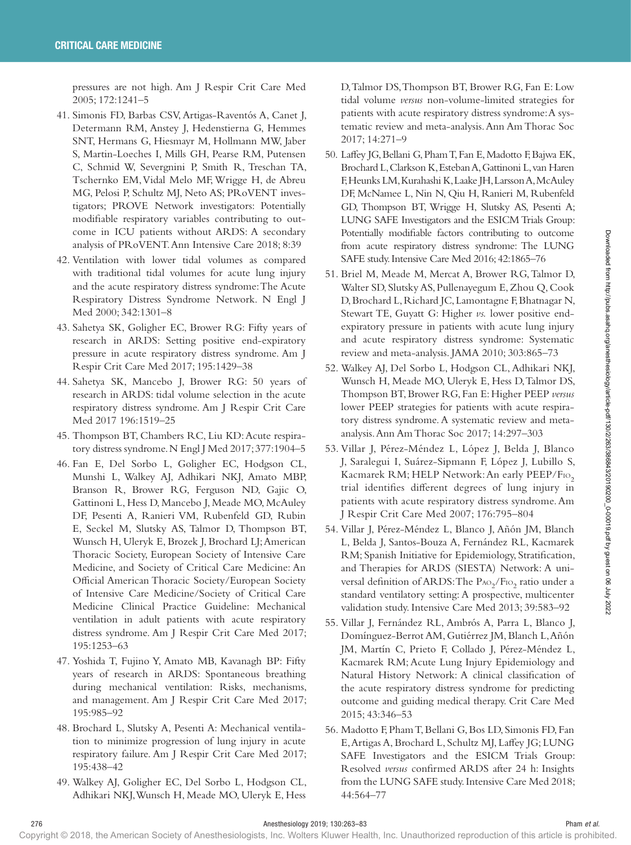pressures are not high. Am J Respir Crit Care Med 2005; 172:1241–5

- 41. Simonis FD, Barbas CSV, Artigas-Raventós A, Canet J, Determann RM, Anstey J, Hedenstierna G, Hemmes SNT, Hermans G, Hiesmayr M, Hollmann MW, Jaber S, Martin-Loeches I, Mills GH, Pearse RM, Putensen C, Schmid W, Severgnini P, Smith R, Treschan TA, Tschernko EM, Vidal Melo MF, Wrigge H, de Abreu MG, Pelosi P, Schultz MJ, Neto AS; PRoVENT investigators; PROVE Network investigators: Potentially modifiable respiratory variables contributing to outcome in ICU patients without ARDS: A secondary analysis of PRoVENT. Ann Intensive Care 2018; 8:39
- 42. Ventilation with lower tidal volumes as compared with traditional tidal volumes for acute lung injury and the acute respiratory distress syndrome: The Acute Respiratory Distress Syndrome Network. N Engl J Med 2000; 342:1301–8
- 43. Sahetya SK, Goligher EC, Brower RG: Fifty years of research in ARDS: Setting positive end-expiratory pressure in acute respiratory distress syndrome. Am J Respir Crit Care Med 2017; 195:1429–38
- 44. Sahetya SK, Mancebo J, Brower RG: 50 years of research in ARDS: tidal volume selection in the acute respiratory distress syndrome. Am J Respir Crit Care Med 2017 196:1519–25
- 45. Thompson BT, Chambers RC, Liu KD: Acute respiratory distress syndrome. N Engl J Med 2017; 377:1904–5
- 46. Fan E, Del Sorbo L, Goligher EC, Hodgson CL, Munshi L, Walkey AJ, Adhikari NKJ, Amato MBP, Branson R, Brower RG, Ferguson ND, Gajic O, Gattinoni L, Hess D, Mancebo J, Meade MO, McAuley DF, Pesenti A, Ranieri VM, Rubenfeld GD, Rubin E, Seckel M, Slutsky AS, Talmor D, Thompson BT, Wunsch H, Uleryk E, Brozek J, Brochard LJ; American Thoracic Society, European Society of Intensive Care Medicine, and Society of Critical Care Medicine: An Official American Thoracic Society/European Society of Intensive Care Medicine/Society of Critical Care Medicine Clinical Practice Guideline: Mechanical ventilation in adult patients with acute respiratory distress syndrome. Am J Respir Crit Care Med 2017; 195:1253–63
- 47. Yoshida T, Fujino Y, Amato MB, Kavanagh BP: Fifty years of research in ARDS: Spontaneous breathing during mechanical ventilation: Risks, mechanisms, and management. Am J Respir Crit Care Med 2017; 195:985–92
- 48. Brochard L, Slutsky A, Pesenti A: Mechanical ventilation to minimize progression of lung injury in acute respiratory failure. Am J Respir Crit Care Med 2017; 195:438–42
- 49. Walkey AJ, Goligher EC, Del Sorbo L, Hodgson CL, Adhikari NKJ, Wunsch H, Meade MO, Uleryk E, Hess

D, Talmor DS, Thompson BT, Brower RG, Fan E: Low tidal volume *versus* non-volume-limited strategies for patients with acute respiratory distress syndrome: A systematic review and meta-analysis. Ann Am Thorac Soc 2017; 14:271–9

- 50. Laffey JG, Bellani G, Pham T, Fan E, Madotto F, Bajwa EK, Brochard L, Clarkson K, Esteban A, Gattinoni L, van Haren F, Heunks LM, Kurahashi K, Laake JH, Larsson A, McAuley DF, McNamee L, Nin N, Qiu H, Ranieri M, Rubenfeld GD, Thompson BT, Wrigge H, Slutsky AS, Pesenti A; LUNG SAFE Investigators and the ESICM Trials Group: Potentially modifiable factors contributing to outcome from acute respiratory distress syndrome: The LUNG SAFE study. Intensive Care Med 2016; 42:1865–76
- 51. Briel M, Meade M, Mercat A, Brower RG, Talmor D, Walter SD, Slutsky AS, Pullenayegum E, Zhou Q, Cook D, Brochard L, Richard JC, Lamontagne F, Bhatnagar N, Stewart TE, Guyatt G: Higher *vs.* lower positive endexpiratory pressure in patients with acute lung injury and acute respiratory distress syndrome: Systematic review and meta-analysis. JAMA 2010; 303:865–73
- 52. Walkey AJ, Del Sorbo L, Hodgson CL, Adhikari NKJ, Wunsch H, Meade MO, Uleryk E, Hess D, Talmor DS, Thompson BT, Brower RG, Fan E: Higher PEEP *versus* lower PEEP strategies for patients with acute respiratory distress syndrome. A systematic review and metaanalysis. Ann Am Thorac Soc 2017; 14:297–303
- 53. Villar J, Pérez-Méndez L, López J, Belda J, Blanco J, Saralegui I, Suárez-Sipmann F, López J, Lubillo S, Kacmarek RM; HELP Network: An early PEEP/FIO<sub>2</sub> trial identifies different degrees of lung injury in patients with acute respiratory distress syndrome. Am J Respir Crit Care Med 2007; 176:795–804
- 54. Villar J, Pérez-Méndez L, Blanco J, Añón JM, Blanch L, Belda J, Santos-Bouza A, Fernández RL, Kacmarek RM; Spanish Initiative for Epidemiology, Stratification, and Therapies for ARDS (SIESTA) Network: A universal definition of ARDS: The  $\text{PaO}_2/\text{Fio}_2$  ratio under a standard ventilatory setting: A prospective, multicenter validation study. Intensive Care Med 2013; 39:583–92
- 55. Villar J, Fernández RL, Ambrós A, Parra L, Blanco J, Domínguez-Berrot AM, Gutiérrez JM, Blanch L, Añón JM, Martín C, Prieto F, Collado J, Pérez-Méndez L, Kacmarek RM; Acute Lung Injury Epidemiology and Natural History Network: A clinical classification of the acute respiratory distress syndrome for predicting outcome and guiding medical therapy. Crit Care Med 2015; 43:346–53
- 56. Madotto F, Pham T, Bellani G, Bos LD, Simonis FD, Fan E, Artigas A, Brochard L, Schultz MJ, Laffey JG; LUNG SAFE Investigators and the ESICM Trials Group: Resolved *versus* confirmed ARDS after 24 h: Insights from the LUNG SAFE study. Intensive Care Med 2018; 44:564–77

276 Anesthesiology 2019; 130:263–83 Pham *et al.*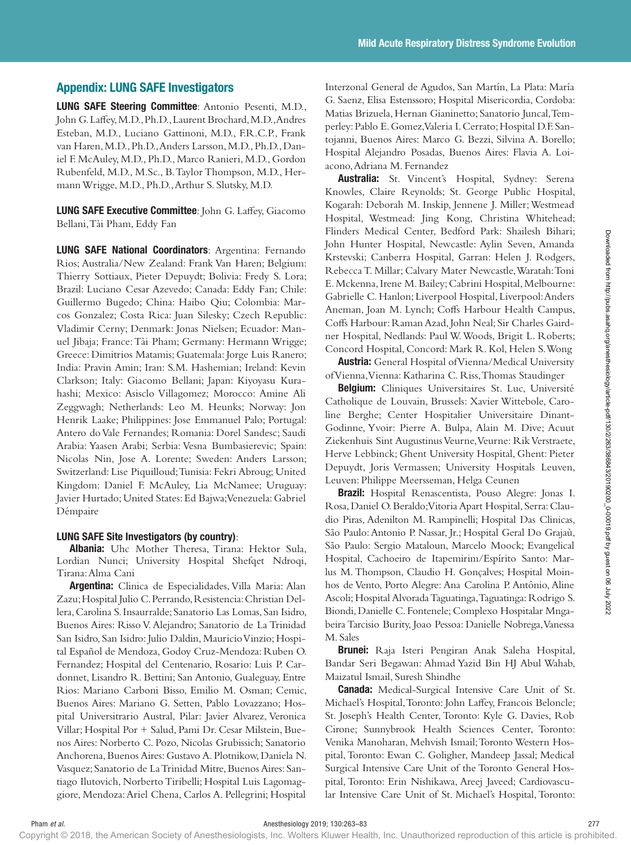## Appendix: LUNG SAFE Investigators

LUNG SAFE Steering Committee: Antonio Pesenti, M.D., John G. Laffey, M.D., Ph.D., Laurent Brochard, M.D., Andres Esteban, M.D., Luciano Gattinoni, M.D., F.R.C.P., Frank van Haren, M.D., Ph.D., Anders Larsson, M.D., Ph.D., Daniel F. McAuley, M.D., Ph.D., Marco Ranieri, M.D., Gordon Rubenfeld, M.D., M.Sc., B. Taylor Thompson, M.D., Hermann Wrigge, M.D., Ph.D., Arthur S. Slutsky, M.D.

LUNG SAFE Executive Committee: John G. Laffey, Giacomo Bellani, Tài Pham, Eddy Fan

LUNG SAFE National Coordinators: Argentina: Fernando Rios; Australia/New Zealand: Frank Van Haren; Belgium: Thierry Sottiaux, Pieter Depuydt; Bolivia: Fredy S. Lora; Brazil: Luciano Cesar Azevedo; Canada: Eddy Fan; Chile: Guillermo Bugedo; China: Haibo Qiu; Colombia: Marcos Gonzalez; Costa Rica: Juan Silesky; Czech Republic: Vladimir Cerny; Denmark: Jonas Nielsen; Ecuador: Manuel Jibaja; France: Tài Pham; Germany: Hermann Wrigge; Greece: Dimitrios Matamis; Guatemala: Jorge Luis Ranero; India: Pravin Amin; Iran: S.M. Hashemian; Ireland: Kevin Clarkson; Italy: Giacomo Bellani; Japan: Kiyoyasu Kurahashi; Mexico: Asisclo Villagomez; Morocco: Amine Ali Zeggwagh; Netherlands: Leo M. Heunks; Norway: Jon Henrik Laake; Philippines: Jose Emmanuel Palo; Portugal: Antero do Vale Fernandes; Romania: Dorel Sandesc; Saudi Arabia: Yaasen Arabi; Serbia: Vesna Bumbasierevic; Spain: Nicolas Nin, Jose A. Lorente; Sweden: Anders Larsson; Switzerland: Lise Piquilloud; Tunisia: Fekri Abroug; United Kingdom: Daniel F. McAuley, Lia McNamee; Uruguay: Javier Hurtado; United States: Ed Bajwa; Venezuela: Gabriel Démpaire

#### LUNG SAFE Site Investigators (by country):

Albania: Uhc Mother Theresa, Tirana: Hektor Sula, Lordian Nunci; University Hospital Shefqet Ndroqi, Tirana: Alma Cani

Argentina: Clinica de Especialidades, Villa Maria: Alan Zazu; Hospital Julio C. Perrando, Resistencia: Christian Dellera, Carolina S. Insaurralde; Sanatorio Las Lomas, San Isidro, Buenos Aires: Risso V. Alejandro; Sanatorio de La Trinidad San Isidro, San Isidro: Julio Daldin, Mauricio Vinzio; Hospital Español de Mendoza, Godoy Cruz-Mendoza: Ruben O. Fernandez; Hospital del Centenario, Rosario: Luis P. Cardonnet, Lisandro R. Bettini; San Antonio, Gualeguay, Entre Rios: Mariano Carboni Bisso, Emilio M. Osman; Cemic, Buenos Aires: Mariano G. Setten, Pablo Lovazzano; Hospital Universitrario Austral, Pilar: Javier Alvarez, Veronica Villar; Hospital Por + Salud, Pami Dr. Cesar Milstein, Buenos Aires: Norberto C. Pozo, Nicolas Grubissich; Sanatorio Anchorena, Buenos Aires: Gustavo A. Plotnikow, Daniela N. Vasquez; Sanatorio de La Trinidad Mitre, Buenos Aires: Santiago Ilutovich, Norberto Tiribelli; Hospital Luis Lagomaggiore, Mendoza: Ariel Chena, Carlos A. Pellegrini; Hospital Interzonal General de Agudos, San Martín, La Plata: María G. Saenz, Elisa Estenssoro; Hospital Misericordia, Cordoba: Matias Brizuela, Hernan Gianinetto; Sanatorio Juncal, Temperley: Pablo E. Gomez, Valeria I. Cerrato; Hospital D.F. Santojanni, Buenos Aires: Marco G. Bezzi, Silvina A. Borello; Hospital Alejandro Posadas, Buenos Aires: Flavia A. Loiacono, Adriana M. Fernandez

Australia: St. Vincent's Hospital, Sydney: Serena Knowles, Claire Reynolds; St. George Public Hospital, Kogarah: Deborah M. Inskip, Jennene J. Miller; Westmead Hospital, Westmead: Jing Kong, Christina Whitehead; Flinders Medical Center, Bedford Park: Shailesh Bihari; John Hunter Hospital, Newcastle: Aylin Seven, Amanda Krstevski; Canberra Hospital, Garran: Helen J. Rodgers, Rebecca T. Millar; Calvary Mater Newcastle, Waratah: Toni E. Mckenna, Irene M. Bailey; Cabrini Hospital, Melbourne: Gabrielle C. Hanlon; Liverpool Hospital, Liverpool: Anders Aneman, Joan M. Lynch; Coffs Harbour Health Campus, Coffs Harbour: Raman Azad, John Neal; Sir Charles Gairdner Hospital, Nedlands: Paul W. Woods, Brigit L. Roberts; Concord Hospital, Concord: Mark R. Kol, Helen S. Wong

Austria: General Hospital of Vienna/Medical University of Vienna, Vienna: Katharina C. Riss, Thomas Staudinger

Belgium: Cliniques Universitaires St. Luc, Université Catholique de Louvain, Brussels: Xavier Wittebole, Caroline Berghe; Center Hospitalier Universitaire Dinant-Godinne, Yvoir: Pierre A. Bulpa, Alain M. Dive; Acuut Ziekenhuis Sint Augustinus Veurne, Veurne: Rik Verstraete, Herve Lebbinck; Ghent University Hospital, Ghent: Pieter Depuydt, Joris Vermassen; University Hospitals Leuven, Leuven: Philippe Meersseman, Helga Ceunen

Brazil: Hospital Renascentista, Pouso Alegre: Jonas I. Rosa, Daniel O. Beraldo; Vitoria Apart Hospital, Serra: Claudio Piras, Adenilton M. Rampinelli; Hospital Das Clinicas, São Paulo: Antonio P. Nassar, Jr.; Hospital Geral Do Grajaù, São Paulo: Sergio Mataloun, Marcelo Moock; Evangelical Hospital, Cachoeiro de Itapemirim/Espírito Santo: Marlus M. Thompson, Claudio H. Gonçalves; Hospital Moinhos de Vento, Porto Alegre: Ana Carolina P. Antônio, Aline Ascoli; Hospital Alvorada Taguatinga, Taguatinga: Rodrigo S. Biondi, Danielle C. Fontenele; Complexo Hospitalar Mngabeira Tarcisio Burity, Joao Pessoa: Danielle Nobrega, Vanessa M. Sales

Brunei: Raja Isteri Pengiran Anak Saleha Hospital, Bandar Seri Begawan: Ahmad Yazid Bin HJ Abul Wahab, Maizatul Ismail, Suresh Shindhe

**Canada:** Medical-Surgical Intensive Care Unit of St. Michael's Hospital, Toronto: John Laffey, Francois Beloncle; St. Joseph's Health Center, Toronto: Kyle G. Davies, Rob Cirone; Sunnybrook Health Sciences Center, Toronto: Venika Manoharan, Mehvish Ismail; Toronto Western Hospital, Toronto: Ewan C. Goligher, Mandeep Jassal; Medical Surgical Intensive Care Unit of the Toronto General Hospital, Toronto: Erin Nishikawa, Areej Javeed; Cardiovascular Intensive Care Unit of St. Michael's Hospital, Toronto: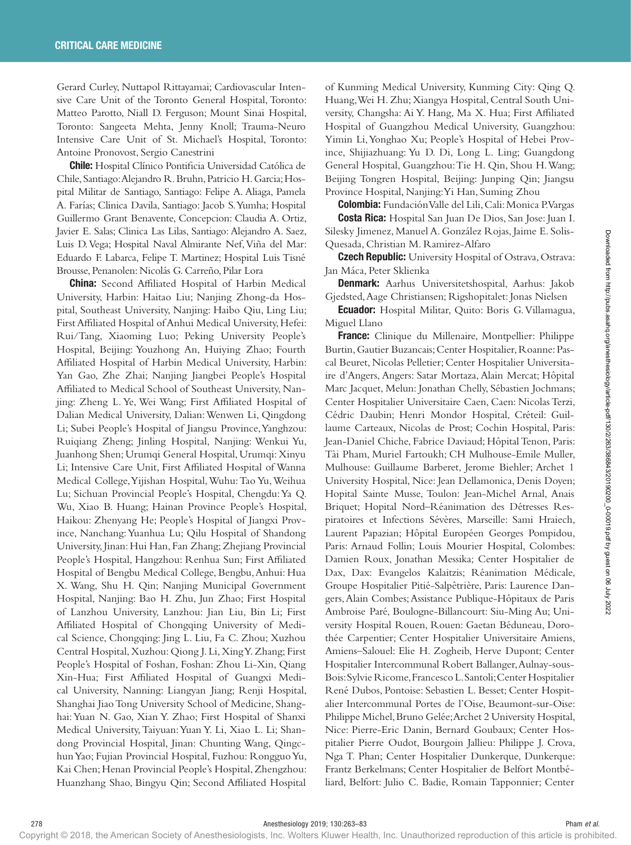Gerard Curley, Nuttapol Rittayamai; Cardiovascular Intensive Care Unit of the Toronto General Hospital, Toronto: Matteo Parotto, Niall D. Ferguson; Mount Sinai Hospital, Toronto: Sangeeta Mehta, Jenny Knoll; Trauma-Neuro Intensive Care Unit of St. Michael's Hospital, Toronto: Antoine Pronovost, Sergio Canestrini

Chile: Hospital Clínico Pontificia Universidad Católica de Chile, Santiago: Alejandro R. Bruhn, Patricio H. Garcia; Hospital Militar de Santiago, Santiago: Felipe A. Aliaga, Pamela A. Farías; Clinica Davila, Santiago: Jacob S. Yumha; Hospital Guillermo Grant Benavente, Concepcion: Claudia A. Ortiz, Javier E. Salas; Clinica Las Lilas, Santiago: Alejandro A. Saez, Luis D. Vega; Hospital Naval Almirante Nef, Viña del Mar: Eduardo F. Labarca, Felipe T. Martinez; Hospital Luis Tisné Brousse, Penanolen: Nicolás G. Carreño, Pilar Lora

**China:** Second Affiliated Hospital of Harbin Medical University, Harbin: Haitao Liu; Nanjing Zhong-da Hospital, Southeast University, Nanjing: Haibo Qiu, Ling Liu; First Affiliated Hospital of Anhui Medical University, Hefei: Rui/Tang, Xiaoming Luo; Peking University People's Hospital, Beijing: Youzhong An, Huiying Zhao; Fourth Affiliated Hospital of Harbin Medical University, Harbin: Yan Gao, Zhe Zhai; Nanjing Jiangbei People's Hospital Affiliated to Medical School of Southeast University, Nanjing: Zheng L. Ye, Wei Wang; First Affiliated Hospital of Dalian Medical University, Dalian: Wenwen Li, Qingdong Li; Subei People's Hospital of Jiangsu Province, Yanghzou: Ruiqiang Zheng; Jinling Hospital, Nanjing: Wenkui Yu, Juanhong Shen; Urumqi General Hospital, Urumqi: Xinyu Li; Intensive Care Unit, First Affiliated Hospital of Wanna Medical College, Yijishan Hospital, Wuhu: Tao Yu, Weihua Lu; Sichuan Provincial People's Hospital, Chengdu: Ya Q. Wu, Xiao B. Huang; Hainan Province People's Hospital, Haikou: Zhenyang He; People's Hospital of Jiangxi Province, Nanchang: Yuanhua Lu; Qilu Hospital of Shandong University, Jinan: Hui Han, Fan Zhang; Zhejiang Provincial People's Hospital, Hangzhou: Renhua Sun; First Affiliated Hospital of Bengbu Medical College, Bengbu, Anhui: Hua X. Wang, Shu H. Qin; Nanjing Municipal Government Hospital, Nanjing: Bao H. Zhu, Jun Zhao; First Hospital of Lanzhou University, Lanzhou: Jian Liu, Bin Li; First Affiliated Hospital of Chongqing University of Medical Science, Chongqing: Jing L. Liu, Fa C. Zhou; Xuzhou Central Hospital, Xuzhou: Qiong J. Li, Xing Y. Zhang; First People's Hospital of Foshan, Foshan: Zhou Li-Xin, Qiang Xin-Hua; First Affiliated Hospital of Guangxi Medical University, Nanning: Liangyan Jiang; Renji Hospital, Shanghai Jiao Tong University School of Medicine, Shanghai: Yuan N. Gao, Xian Y. Zhao; First Hospital of Shanxi Medical University, Taiyuan: Yuan Y. Li, Xiao L. Li; Shandong Provincial Hospital, Jinan: Chunting Wang, Qingchun Yao; Fujian Provincial Hospital, Fuzhou: Rongguo Yu, Kai Chen; Henan Provincial People's Hospital, Zhengzhou: Huanzhang Shao, Bingyu Qin; Second Affiliated Hospital

of Kunming Medical University, Kunming City: Qing Q. Huang, Wei H. Zhu; Xiangya Hospital, Central South University, Changsha: Ai Y. Hang, Ma X. Hua; First Affiliated Hospital of Guangzhou Medical University, Guangzhou: Yimin Li, Yonghao Xu; People's Hospital of Hebei Province, Shijiazhuang: Yu D. Di, Long L. Ling; Guangdong General Hospital, Guangzhou: Tie H. Qin, Shou H. Wang; Beijing Tongren Hospital, Beijing: Junping Qin; Jiangsu Province Hospital, Nanjing: Yi Han, Suming Zhou

Colombia: Fundación Valle del Lili, Cali: Monica P. Vargas Costa Rica: Hospital San Juan De Dios, San Jose: Juan I. Silesky Jimenez, Manuel A. González Rojas, Jaime E. Solis-Quesada, Christian M. Ramirez-Alfaro

**Czech Republic:** University Hospital of Ostrava, Ostrava: Jan Máca, Peter Sklienka

**Denmark:** Aarhus Universitetshospital, Aarhus: Jakob Gjedsted, Aage Christiansen; Rigshopitalet: Jonas Nielsen

Ecuador: Hospital Militar, Quito: Boris G. Villamagua, Miguel Llano

France: Clinique du Millenaire, Montpellier: Philippe Burtin, Gautier Buzancais; Center Hospitalier, Roanne: Pascal Beuret, Nicolas Pelletier; Center Hospitalier Universitaire d'Angers, Angers: Satar Mortaza, Alain Mercat; Hôpital Marc Jacquet, Melun: Jonathan Chelly, Sébastien Jochmans; Center Hospitalier Universitaire Caen, Caen: Nicolas Terzi, Cédric Daubin; Henri Mondor Hospital, Créteil: Guillaume Carteaux, Nicolas de Prost; Cochin Hospital, Paris: Jean-Daniel Chiche, Fabrice Daviaud; Hôpital Tenon, Paris: Tài Pham, Muriel Fartoukh; CH Mulhouse-Emile Muller, Mulhouse: Guillaume Barberet, Jerome Biehler; Archet 1 University Hospital, Nice: Jean Dellamonica, Denis Doyen; Hopital Sainte Musse, Toulon: Jean-Michel Arnal, Anais Briquet; Hopital Nord–Réanimation des Détresses Respiratoires et Infections Sévères, Marseille: Sami Hraiech, Laurent Papazian; Hôpital Européen Georges Pompidou, Paris: Arnaud Follin; Louis Mourier Hospital, Colombes: Damien Roux, Jonathan Messika; Center Hospitalier de Dax, Dax: Evangelos Kalaitzis; Réanimation Médicale, Groupe Hospitalier Pitié-Salpêtrière, Paris: Laurence Dangers, Alain Combes; Assistance Publique-Hôpitaux de Paris Ambroise Paré, Boulogne-Billancourt: Siu-Ming Au; University Hospital Rouen, Rouen: Gaetan Béduneau, Dorothée Carpentier; Center Hospitalier Universitaire Amiens, Amiens–Salouel: Elie H. Zogheib, Herve Dupont; Center Hospitalier Intercommunal Robert Ballanger, Aulnay-sous-Bois: Sylvie Ricome, Francesco L. Santoli; Center Hospitalier René Dubos, Pontoise: Sebastien L. Besset; Center Hospitalier Intercommunal Portes de l'Oise, Beaumont-sur-Oise: Philippe Michel, Bruno Gelée; Archet 2 University Hospital, Nice: Pierre-Eric Danin, Bernard Goubaux; Center Hospitalier Pierre Oudot, Bourgoin Jallieu: Philippe J. Crova, Nga T. Phan; Center Hospitalier Dunkerque, Dunkerque: Frantz Berkelmans; Center Hospitalier de Belfort Montbéliard, Belfort: Julio C. Badie, Romain Tapponnier; Center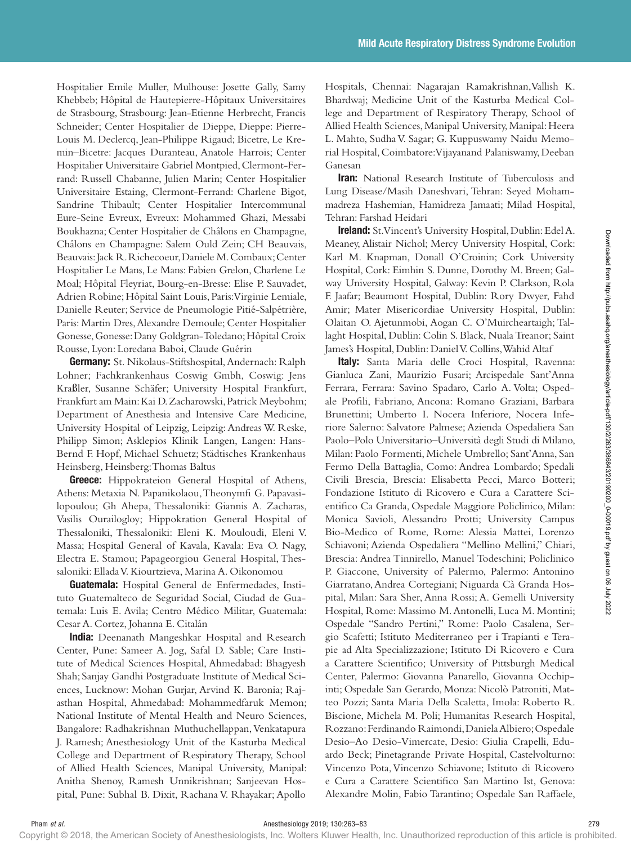Hospitalier Emile Muller, Mulhouse: Josette Gally, Samy Khebbeb; Hôpital de Hautepierre-Hôpitaux Universitaires de Strasbourg, Strasbourg: Jean-Etienne Herbrecht, Francis Schneider; Center Hospitalier de Dieppe, Dieppe: Pierre-Louis M. Declercq, Jean-Philippe Rigaud; Bicetre, Le Kremin–Bicetre: Jacques Duranteau, Anatole Harrois; Center Hospitalier Universitaire Gabriel Montpied, Clermont-Ferrand: Russell Chabanne, Julien Marin; Center Hospitalier Universitaire Estaing, Clermont-Ferrand: Charlene Bigot, Sandrine Thibault; Center Hospitalier Intercommunal Eure-Seine Evreux, Evreux: Mohammed Ghazi, Messabi Boukhazna; Center Hospitalier de Châlons en Champagne, Châlons en Champagne: Salem Ould Zein; CH Beauvais, Beauvais: Jack R. Richecoeur, Daniele M. Combaux; Center Hospitalier Le Mans, Le Mans: Fabien Grelon, Charlene Le Moal; Hôpital Fleyriat, Bourg-en-Bresse: Elise P. Sauvadet, Adrien Robine; Hôpital Saint Louis, Paris: Virginie Lemiale, Danielle Reuter; Service de Pneumologie Pitié-Salpétrière, Paris: Martin Dres, Alexandre Demoule; Center Hospitalier Gonesse, Gonesse: Dany Goldgran-Toledano; Hôpital Croix Rousse, Lyon: Loredana Baboi, Claude Guérin

Germany: St. Nikolaus-Stiftshospital, Andernach: Ralph Lohner; Fachkrankenhaus Coswig Gmbh, Coswig: Jens Kraßler, Susanne Schäfer; University Hospital Frankfurt, Frankfurt am Main: Kai D. Zacharowski, Patrick Meybohm; Department of Anesthesia and Intensive Care Medicine, University Hospital of Leipzig, Leipzig: Andreas W. Reske, Philipp Simon; Asklepios Klinik Langen, Langen: Hans-Bernd F. Hopf, Michael Schuetz; Städtisches Krankenhaus Heinsberg, Heinsberg: Thomas Baltus

**Greece:** Hippokrateion General Hospital of Athens, Athens: Metaxia N. Papanikolaou, Theonymfi G. Papavasilopoulou; Gh Ahepa, Thessaloniki: Giannis A. Zacharas, Vasilis Ourailogloy; Hippokration General Hospital of Thessaloniki, Thessaloniki: Eleni K. Mouloudi, Eleni V. Massa; Hospital General of Kavala, Kavala: Eva O. Nagy, Electra E. Stamou; Papageorgiou General Hospital, Thessaloniki: Ellada V. Kiourtzieva, Marina A. Oikonomou

Guatemala: Hospital General de Enfermedades, Instituto Guatemalteco de Seguridad Social, Ciudad de Guatemala: Luis E. Avila; Centro Médico Militar, Guatemala: Cesar A. Cortez, Johanna E. Citalán

India: Deenanath Mangeshkar Hospital and Research Center, Pune: Sameer A. Jog, Safal D. Sable; Care Institute of Medical Sciences Hospital, Ahmedabad: Bhagyesh Shah; Sanjay Gandhi Postgraduate Institute of Medical Sciences, Lucknow: Mohan Gurjar, Arvind K. Baronia; Rajasthan Hospital, Ahmedabad: Mohammedfaruk Memon; National Institute of Mental Health and Neuro Sciences, Bangalore: Radhakrishnan Muthuchellappan, Venkatapura J. Ramesh; Anesthesiology Unit of the Kasturba Medical College and Department of Respiratory Therapy, School of Allied Health Sciences, Manipal University, Manipal: Anitha Shenoy, Ramesh Unnikrishnan; Sanjeevan Hospital, Pune: Subhal B. Dixit, Rachana V. Rhayakar; Apollo

Hospitals, Chennai: Nagarajan Ramakrishnan,Vallish K. Bhardwaj; Medicine Unit of the Kasturba Medical College and Department of Respiratory Therapy, School of Allied Health Sciences, Manipal University, Manipal: Heera L. Mahto, Sudha V. Sagar; G. Kuppuswamy Naidu Memorial Hospital, Coimbatore: Vijayanand Palaniswamy, Deeban Ganesan

Iran: National Research Institute of Tuberculosis and Lung Disease/Masih Daneshvari, Tehran: Seyed Mohammadreza Hashemian, Hamidreza Jamaati; Milad Hospital, Tehran: Farshad Heidari

Ireland: St. Vincent's University Hospital, Dublin: Edel A. Meaney, Alistair Nichol; Mercy University Hospital, Cork: Karl M. Knapman, Donall O'Croinin; Cork University Hospital, Cork: Eimhin S. Dunne, Dorothy M. Breen; Galway University Hospital, Galway: Kevin P. Clarkson, Rola F. Jaafar; Beaumont Hospital, Dublin: Rory Dwyer, Fahd Amir; Mater Misericordiae University Hospital, Dublin: Olaitan O. Ajetunmobi, Aogan C. O'Muircheartaigh; Tallaght Hospital, Dublin: Colin S. Black, Nuala Treanor; Saint James's Hospital, Dublin: Daniel V. Collins, Wahid Altaf

Italy: Santa Maria delle Croci Hospital, Ravenna: Gianluca Zani, Maurizio Fusari; Arcispedale Sant'Anna Ferrara, Ferrara: Savino Spadaro, Carlo A. Volta; Ospedale Profili, Fabriano, Ancona: Romano Graziani, Barbara Brunettini; Umberto I. Nocera Inferiore, Nocera Inferiore Salerno: Salvatore Palmese; Azienda Ospedaliera San Paolo–Polo Universitario–Università degli Studi di Milano, Milan: Paolo Formenti, Michele Umbrello; Sant'Anna, San Fermo Della Battaglia, Como: Andrea Lombardo; Spedali Civili Brescia, Brescia: Elisabetta Pecci, Marco Botteri; Fondazione Istituto di Ricovero e Cura a Carattere Scientifico Ca Granda, Ospedale Maggiore Policlinico, Milan: Monica Savioli, Alessandro Protti; University Campus Bio-Medico of Rome, Rome: Alessia Mattei, Lorenzo Schiavoni; Azienda Ospedaliera "Mellino Mellini," Chiari, Brescia: Andrea Tinnirello, Manuel Todeschini; Policlinico P. Giaccone, University of Palermo, Palermo: Antonino Giarratano, Andrea Cortegiani; Niguarda Cà Granda Hospital, Milan: Sara Sher, Anna Rossi; A. Gemelli University Hospital, Rome: Massimo M. Antonelli, Luca M. Montini; Ospedale "Sandro Pertini," Rome: Paolo Casalena, Sergio Scafetti; Istituto Mediterraneo per i Trapianti e Terapie ad Alta Specializzazione; Istituto Di Ricovero e Cura a Carattere Scientifico; University of Pittsburgh Medical Center, Palermo: Giovanna Panarello, Giovanna Occhipinti; Ospedale San Gerardo, Monza: Nicolò Patroniti, Matteo Pozzi; Santa Maria Della Scaletta, Imola: Roberto R. Biscione, Michela M. Poli; Humanitas Research Hospital, Rozzano: Ferdinando Raimondi, Daniela Albiero; Ospedale Desio–Ao Desio-Vimercate, Desio: Giulia Crapelli, Eduardo Beck; Pinetagrande Private Hospital, Castelvolturno: Vincenzo Pota, Vincenzo Schiavone; Istituto di Ricovero e Cura a Carattere Scientifico San Martino Ist, Genova: Alexandre Molin, Fabio Tarantino; Ospedale San Raffaele,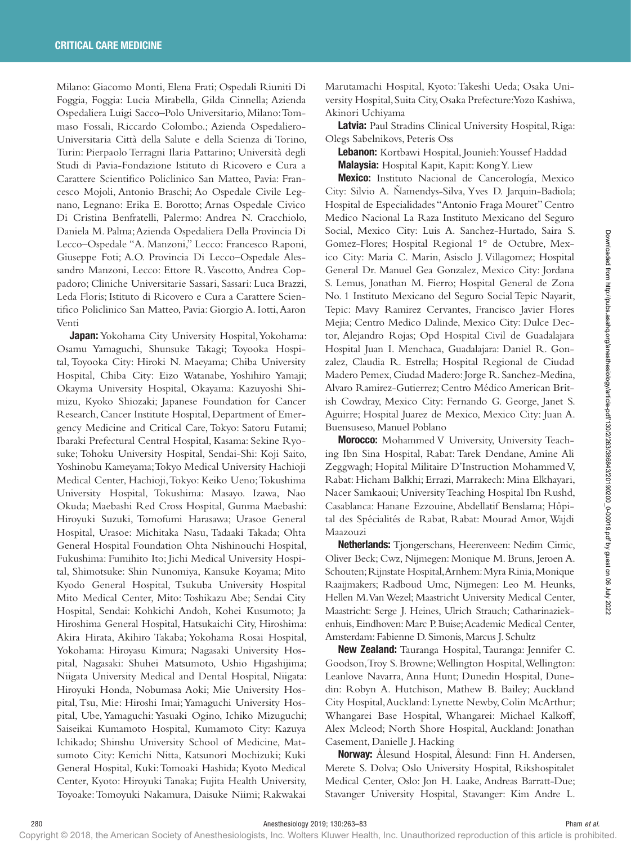Milano: Giacomo Monti, Elena Frati; Ospedali Riuniti Di Foggia, Foggia: Lucia Mirabella, Gilda Cinnella; Azienda Ospedaliera Luigi Sacco–Polo Universitario, Milano: Tommaso Fossali, Riccardo Colombo.; Azienda Ospedaliero-Universitaria Città della Salute e della Scienza di Torino, Turin: Pierpaolo Terragni Ilaria Pattarino; Università degli Studi di Pavia-Fondazione Istituto di Ricovero e Cura a Carattere Scientifico Policlinico San Matteo, Pavia: Francesco Mojoli, Antonio Braschi; Ao Ospedale Civile Legnano, Legnano: Erika E. Borotto; Arnas Ospedale Civico Di Cristina Benfratelli, Palermo: Andrea N. Cracchiolo, Daniela M. Palma; Azienda Ospedaliera Della Provincia Di Lecco–Ospedale "A. Manzoni," Lecco: Francesco Raponi, Giuseppe Foti; A.O. Provincia Di Lecco–Ospedale Alessandro Manzoni, Lecco: Ettore R. Vascotto, Andrea Coppadoro; Cliniche Universitarie Sassari, Sassari: Luca Brazzi, Leda Floris; Istituto di Ricovero e Cura a Carattere Scientifico Policlinico San Matteo, Pavia: Giorgio A. Iotti, Aaron Venti

Japan: Yokohama City University Hospital, Yokohama: Osamu Yamaguchi, Shunsuke Takagi; Toyooka Hospital, Toyooka City: Hiroki N. Maeyama; Chiba University Hospital, Chiba City: Eizo Watanabe, Yoshihiro Yamaji; Okayma University Hospital, Okayama: Kazuyoshi Shimizu, Kyoko Shiozaki; Japanese Foundation for Cancer Research, Cancer Institute Hospital, Department of Emergency Medicine and Critical Care, Tokyo: Satoru Futami; Ibaraki Prefectural Central Hospital, Kasama: Sekine Ryosuke; Tohoku University Hospital, Sendai-Shi: Koji Saito, Yoshinobu Kameyama; Tokyo Medical University Hachioji Medical Center, Hachioji, Tokyo: Keiko Ueno; Tokushima University Hospital, Tokushima: Masayo. Izawa, Nao Okuda; Maebashi Red Cross Hospital, Gunma Maebashi: Hiroyuki Suzuki, Tomofumi Harasawa; Urasoe General Hospital, Urasoe: Michitaka Nasu, Tadaaki Takada; Ohta General Hospital Foundation Ohta Nishinouchi Hospital, Fukushima: Fumihito Ito; Jichi Medical University Hospital, Shimotsuke: Shin Nunomiya, Kansuke Koyama; Mito Kyodo General Hospital, Tsukuba University Hospital Mito Medical Center, Mito: Toshikazu Abe; Sendai City Hospital, Sendai: Kohkichi Andoh, Kohei Kusumoto; Ja Hiroshima General Hospital, Hatsukaichi City, Hiroshima: Akira Hirata, Akihiro Takaba; Yokohama Rosai Hospital, Yokohama: Hiroyasu Kimura; Nagasaki University Hospital, Nagasaki: Shuhei Matsumoto, Ushio Higashijima; Niigata University Medical and Dental Hospital, Niigata: Hiroyuki Honda, Nobumasa Aoki; Mie University Hospital, Tsu, Mie: Hiroshi Imai; Yamaguchi University Hospital, Ube, Yamaguchi: Yasuaki Ogino, Ichiko Mizuguchi; Saiseikai Kumamoto Hospital, Kumamoto City: Kazuya Ichikado; Shinshu University School of Medicine, Matsumoto City: Kenichi Nitta, Katsunori Mochizuki; Kuki General Hospital, Kuki: Tomoaki Hashida; Kyoto Medical Center, Kyoto: Hiroyuki Tanaka; Fujita Health University, Toyoake: Tomoyuki Nakamura, Daisuke Niimi; Rakwakai

Marutamachi Hospital, Kyoto: Takeshi Ueda; Osaka University Hospital, Suita City, Osaka Prefecture: Yozo Kashiwa, Akinori Uchiyama

Latvia: Paul Stradins Clinical University Hospital, Riga: Olegs Sabelnikovs, Peteris Oss

Lebanon: Kortbawi Hospital, Jounieh: Youssef Haddad Malaysia: Hospital Kapit, Kapit: Kong Y. Liew

Mexico: Instituto Nacional de Cancerología, Mexico City: Silvio A. Ñamendys-Silva, Yves D. Jarquin-Badiola; Hospital de Especialidades "Antonio Fraga Mouret" Centro Medico Nacional La Raza Instituto Mexicano del Seguro Social, Mexico City: Luis A. Sanchez-Hurtado, Saira S. Gomez-Flores; Hospital Regional 1° de Octubre, Mexico City: Maria C. Marin, Asisclo J. Villagomez; Hospital General Dr. Manuel Gea Gonzalez, Mexico City: Jordana S. Lemus, Jonathan M. Fierro; Hospital General de Zona No. 1 Instituto Mexicano del Seguro Social Tepic Nayarit, Tepic: Mavy Ramirez Cervantes, Francisco Javier Flores Mejia; Centro Medico Dalinde, Mexico City: Dulce Dector, Alejandro Rojas; Opd Hospital Civil de Guadalajara Hospital Juan I. Menchaca, Guadalajara: Daniel R. Gonzalez, Claudia R. Estrella; Hospital Regional de Ciudad Madero Pemex, Ciudad Madero: Jorge R. Sanchez-Medina, Alvaro Ramirez-Gutierrez; Centro Médico American British Cowdray, Mexico City: Fernando G. George, Janet S. Aguirre; Hospital Juarez de Mexico, Mexico City: Juan A. Buensuseso, Manuel Poblano

Morocco: Mohammed V University, University Teaching Ibn Sina Hospital, Rabat: Tarek Dendane, Amine Ali Zeggwagh; Hopital Militaire D'Instruction Mohammed V, Rabat: Hicham Balkhi; Errazi, Marrakech: Mina Elkhayari, Nacer Samkaoui; University Teaching Hospital Ibn Rushd, Casablanca: Hanane Ezzouine, Abdellatif Benslama; Hôpital des Spécialités de Rabat, Rabat: Mourad Amor, Wajdi Maazouzi

Netherlands: Tjongerschans, Heerenveen: Nedim Cimic, Oliver Beck; Cwz, Nijmegen: Monique M. Bruns, Jeroen A. Schouten; Rijnstate Hospital, Arnhem: Myra Rinia, Monique Raaijmakers; Radboud Umc, Nijmegen: Leo M. Heunks, Hellen M. Van Wezel; Maastricht University Medical Center, Maastricht: Serge J. Heines, Ulrich Strauch; Catharinaziekenhuis, Eindhoven: Marc P. Buise; Academic Medical Center, Amsterdam: Fabienne D. Simonis, Marcus J. Schultz

New Zealand: Tauranga Hospital, Tauranga: Jennifer C. Goodson, Troy S. Browne; Wellington Hospital, Wellington: Leanlove Navarra, Anna Hunt; Dunedin Hospital, Dunedin: Robyn A. Hutchison, Mathew B. Bailey; Auckland City Hospital, Auckland: Lynette Newby, Colin McArthur; Whangarei Base Hospital, Whangarei: Michael Kalkoff, Alex Mcleod; North Shore Hospital, Auckland: Jonathan Casement, Danielle J. Hacking

Norway: Ålesund Hospital, Ålesund: Finn H. Andersen, Merete S. Dolva; Oslo University Hospital, Rikshospitalet Medical Center, Oslo: Jon H. Laake, Andreas Barratt-Due; Stavanger University Hospital, Stavanger: Kim Andre L.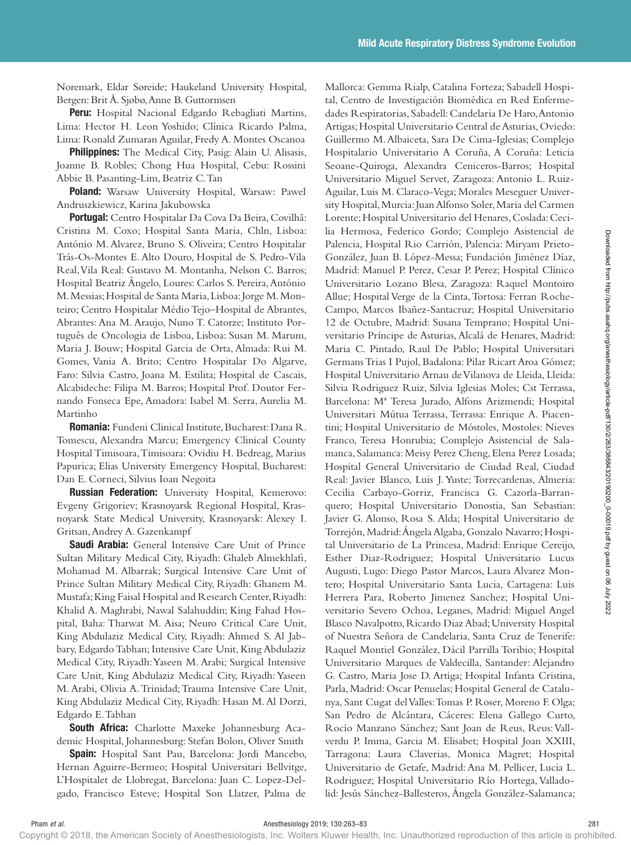Noremark, Eldar Søreide; Haukeland University Hospital, Bergen: Brit Å. Sjøbø, Anne B. Guttormsen

Peru: Hospital Nacional Edgardo Rebagliati Martins, Lima: Hector H. Leon Yoshido; Clínica Ricardo Palma, Lima: Ronald Zumaran Aguilar, Fredy A. Montes Oscanoa

Philippines: The Medical City, Pasig: Alain U. Alisasis, Joanne B. Robles; Chong Hua Hospital, Cebu: Rossini Abbie B. Pasanting-Lim, Beatriz C. Tan

Poland: Warsaw University Hospital, Warsaw: Pawel Andruszkiewicz, Karina Jakubowska

Portugal: Centro Hospitalar Da Cova Da Beira, Covilhã: Cristina M. Coxo; Hospital Santa Maria, Chln, Lisboa: António M. Alvarez, Bruno S. Oliveira; Centro Hospitalar Trás-Os-Montes E. Alto Douro, Hospital de S. Pedro-Vila Real, Vila Real: Gustavo M. Montanha, Nelson C. Barros; Hospital Beatriz Ângelo, Loures: Carlos S. Pereira, António M. Messias; Hospital de Santa Maria, Lisboa: Jorge M. Monteiro; Centro Hospitalar Médio Tejo–Hospital de Abrantes, Abrantes: Ana M. Araujo, Nuno T. Catorze; Instituto Português de Oncologia de Lisboa, Lisboa: Susan M. Marum, Maria J. Bouw; Hospital Garcia de Orta, Almada: Rui M. Gomes, Vania A. Brito; Centro Hospitalar Do Algarve, Faro: Silvia Castro, Joana M. Estilita; Hospital de Cascais, Alcabideche: Filipa M. Barros; Hospital Prof. Doutor Fernando Fonseca Epe, Amadora: Isabel M. Serra, Aurelia M. Martinho

Romania: Fundeni Clinical Institute, Bucharest: Dana R. Tomescu, Alexandra Marcu; Emergency Clinical County Hospital Timisoara, Timisoara: Ovidiu H. Bedreag, Marius Papurica; Elias University Emergency Hospital, Bucharest: Dan E. Corneci, Silvius Ioan Negoita

**Russian Federation:** University Hospital, Kemerovo: Evgeny Grigoriev; Krasnoyarsk Regional Hospital, Krasnoyarsk State Medical University, Krasnoyarsk: Alexey I. Gritsan, Andrey A. Gazenkampf

Saudi Arabia: General Intensive Care Unit of Prince Sultan Military Medical City, Riyadh: Ghaleb Almekhlafi, Mohamad M. Albarrak; Surgical Intensive Care Unit of Prince Sultan Military Medical City, Riyadh: Ghanem M. Mustafa; King Faisal Hospital and Research Center, Riyadh: Khalid A. Maghrabi, Nawal Salahuddin; King Fahad Hospital, Baha: Tharwat M. Aisa; Neuro Critical Care Unit, King Abdulaziz Medical City, Riyadh: Ahmed S. Al Jabbary, Edgardo Tabhan; Intensive Care Unit, King Abdulaziz Medical City, Riyadh: Yaseen M. Arabi; Surgical Intensive Care Unit, King Abdulaziz Medical City, Riyadh: Yaseen M. Arabi, Olivia A. Trinidad; Trauma Intensive Care Unit, King Abdulaziz Medical City, Riyadh: Hasan M. Al Dorzi, Edgardo E. Tabhan

South Africa: Charlotte Maxeke Johannesburg Academic Hospital, Johannesburg: Stefan Bolon, Oliver Smith

Spain: Hospital Sant Pau, Barcelona: Jordi Mancebo, Hernan Aguirre-Bermeo; Hospital Universitari Bellvitge, L'Hospitalet de Llobregat, Barcelona: Juan C. Lopez-Delgado, Francisco Esteve; Hospital Son Llatzer, Palma de

Mallorca: Gemma Rialp, Catalina Forteza; Sabadell Hospital, Centro de Investigación Biomédica en Red Enfermedades Respiratorias, Sabadell: Candelaria De Haro, Antonio Artigas; Hospital Universitario Central de Asturias, Oviedo: Guillermo M. Albaiceta, Sara De Cima-Iglesias; Complejo Hospitalario Universitario A Coruña, A Coruña: Leticia Seoane-Quiroga, Alexandra Ceniceros-Barros; Hospital Universitario Miguel Servet, Zaragoza: Antonio L. Ruiz-Aguilar, Luis M. Claraco-Vega; Morales Meseguer University Hospital, Murcia: Juan Alfonso Soler, Maria del Carmen Lorente; Hospital Universitario del Henares, Coslada: Cecilia Hermosa, Federico Gordo; Complejo Asistencial de Palencia, Hospital Rio Carrión, Palencia: Miryam Prieto-González, Juan B. López-Messa; Fundación Jiménez Díaz, Madrid: Manuel P. Perez, Cesar P. Perez; Hospital Clínico Universitario Lozano Blesa, Zaragoza: Raquel Montoiro Allue; Hospital Verge de la Cinta, Tortosa: Ferran Roche-Campo, Marcos Ibañez-Santacruz; Hospital Universitario 12 de Octubre, Madrid: Susana Temprano; Hospital Universitario Príncipe de Asturias, Alcalá de Henares, Madrid: Maria C. Pintado, Raul De Pablo; Hospital Universitari Germans Trias I Pujol, Badalona: Pilar Ricart Aroa Gómez; Hospital Universitario Arnau de Vilanova de Lleida, Lleida: Silvia Rodriguez Ruiz, Silvia Iglesias Moles; Cst Terrassa, Barcelona: Mª Teresa Jurado, Alfons Arizmendi; Hospital Universitari Mútua Terrassa, Terrassa: Enrique A. Piacentini; Hospital Universitario de Móstoles, Mostoles: Nieves Franco, Teresa Honrubia; Complejo Asistencial de Salamanca, Salamanca: Meisy Perez Cheng, Elena Perez Losada; Hospital General Universitario de Ciudad Real, Ciudad Real: Javier Blanco, Luis J. Yuste; Torrecardenas, Almeria: Cecilia Carbayo-Gorriz, Francisca G. Cazorla-Barranquero; Hospital Universitario Donostia, San Sebastian: Javier G. Alonso, Rosa S. Alda; Hospital Universitario de Torrejón, Madrid: Ángela Algaba, Gonzalo Navarro; Hospital Universitario de La Princesa, Madrid: Enrique Cereijo, Esther Diaz-Rodriguez; Hospital Universitario Lucus Augusti, Lugo: Diego Pastor Marcos, Laura Alvarez Montero; Hospital Universitario Santa Lucia, Cartagena: Luis Herrera Para, Roberto Jimenez Sanchez; Hospital Universitario Severo Ochoa, Leganes, Madrid: Miguel Angel Blasco Navalpotro, Ricardo Diaz Abad; University Hospital of Nuestra Señora de Candelaria, Santa Cruz de Tenerife: Raquel Montiel González, Dácil Parrilla Toribio; Hospital Universitario Marques de Valdecilla, Santander: Alejandro G. Castro, Maria Jose D. Artiga; Hospital Infanta Cristina, Parla, Madrid: Oscar Penuelas; Hospital General de Catalunya, Sant Cugat del Valles: Tomas P. Roser, Moreno F. Olga; San Pedro de Alcántara, Cáceres: Elena Gallego Curto, Rocío Manzano Sánchez; Sant Joan de Reus, Reus: Vallverdu P. Imma, Garcia M. Elisabet; Hospital Joan XXIII, Tarragona: Laura Claverias, Monica Magret; Hospital Universitario de Getafe, Madrid: Ana M. Pellicer, Lucia L. Rodriguez; Hospital Universitario Río Hortega, Valladolid: Jesús Sánchez-Ballesteros, Ángela González-Salamanca;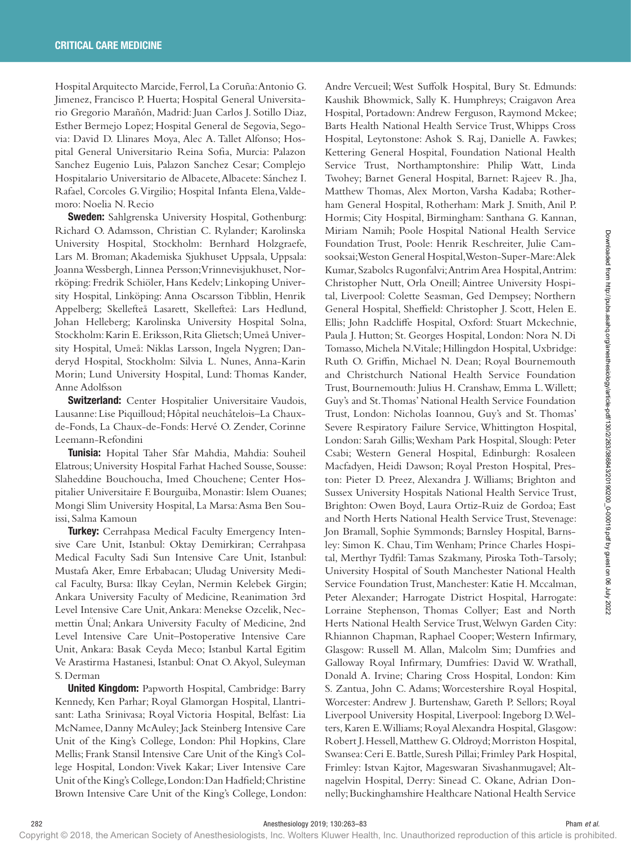Hospital Arquitecto Marcide, Ferrol, La Coruña: Antonio G. Jimenez, Francisco P. Huerta; Hospital General Universitario Gregorio Marañón, Madrid: Juan Carlos J. Sotillo Diaz, Esther Bermejo Lopez; Hospital General de Segovia, Segovia: David D. Llinares Moya, Alec A. Tallet Alfonso; Hospital General Universitario Reina Sofia, Murcia: Palazon Sanchez Eugenio Luis, Palazon Sanchez Cesar; Complejo Hospitalario Universitario de Albacete, Albacete: Sánchez I. Rafael, Corcoles G. Virgilio; Hospital Infanta Elena, Valdemoro: Noelia N. Recio

**Sweden:** Sahlgrenska University Hospital, Gothenburg: Richard O. Adamsson, Christian C. Rylander; Karolinska University Hospital, Stockholm: Bernhard Holzgraefe, Lars M. Broman; Akademiska Sjukhuset Uppsala, Uppsala: Joanna Wessbergh, Linnea Persson; Vrinnevisjukhuset, Norrköping: Fredrik Schiöler, Hans Kedelv; Linkoping University Hospital, Linköping: Anna Oscarsson Tibblin, Henrik Appelberg; Skellefteå Lasarett, Skellefteå: Lars Hedlund, Johan Helleberg; Karolinska University Hospital Solna, Stockholm: Karin E. Eriksson, Rita Glietsch; Umeå University Hospital, Umeå: Niklas Larsson, Ingela Nygren; Danderyd Hospital, Stockholm: Silvia L. Nunes, Anna-Karin Morin; Lund University Hospital, Lund: Thomas Kander, Anne Adolfsson

Switzerland: Center Hospitalier Universitaire Vaudois, Lausanne: Lise Piquilloud; Hôpital neuchâtelois–La Chauxde-Fonds, La Chaux-de-Fonds: Hervé O. Zender, Corinne Leemann-Refondini

Tunisia: Hopital Taher Sfar Mahdia, Mahdia: Souheil Elatrous; University Hospital Farhat Hached Sousse, Sousse: Slaheddine Bouchoucha, Imed Chouchene; Center Hospitalier Universitaire F. Bourguiba, Monastir: Islem Ouanes; Mongi Slim University Hospital, La Marsa: Asma Ben Souissi, Salma Kamoun

**Turkey:** Cerrahpasa Medical Faculty Emergency Intensive Care Unit, Istanbul: Oktay Demirkiran; Cerrahpasa Medical Faculty Sadi Sun Intensive Care Unit, Istanbul: Mustafa Aker, Emre Erbabacan; Uludag University Medical Faculty, Bursa: Ilkay Ceylan, Nermin Kelebek Girgin; Ankara University Faculty of Medicine, Reanimation 3rd Level Intensive Care Unit, Ankara: Menekse Ozcelik, Necmettin Ünal; Ankara University Faculty of Medicine, 2nd Level Intensive Care Unit–Postoperative Intensive Care Unit, Ankara: Basak Ceyda Meco; Istanbul Kartal Egitim Ve Arastirma Hastanesi, Istanbul: Onat O. Akyol, Suleyman S. Derman

United Kingdom: Papworth Hospital, Cambridge: Barry Kennedy, Ken Parhar; Royal Glamorgan Hospital, Llantrisant: Latha Srinivasa; Royal Victoria Hospital, Belfast: Lia McNamee, Danny McAuley; Jack Steinberg Intensive Care Unit of the King's College, London: Phil Hopkins, Clare Mellis; Frank Stansil Intensive Care Unit of the King's College Hospital, London: Vivek Kakar; Liver Intensive Care Unit of the King's College, London: Dan Hadfield; Christine Brown Intensive Care Unit of the King's College, London:

Andre Vercueil; West Suffolk Hospital, Bury St. Edmunds: Kaushik Bhowmick, Sally K. Humphreys; Craigavon Area Hospital, Portadown: Andrew Ferguson, Raymond Mckee; Barts Health National Health Service Trust, Whipps Cross Hospital, Leytonstone: Ashok S. Raj, Danielle A. Fawkes; Kettering General Hospital, Foundation National Health Service Trust, Northamptonshire: Philip Watt, Linda Twohey; Barnet General Hospital, Barnet: Rajeev R. Jha, Matthew Thomas, Alex Morton, Varsha Kadaba; Rotherham General Hospital, Rotherham: Mark J. Smith, Anil P. Hormis; City Hospital, Birmingham: Santhana G. Kannan, Miriam Namih; Poole Hospital National Health Service Foundation Trust, Poole: Henrik Reschreiter, Julie Camsooksai; Weston General Hospital, Weston-Super-Mare: Alek Kumar, Szabolcs Rugonfalvi; Antrim Area Hospital, Antrim: Christopher Nutt, Orla Oneill; Aintree University Hospital, Liverpool: Colette Seasman, Ged Dempsey; Northern General Hospital, Sheffield: Christopher J. Scott, Helen E. Ellis; John Radcliffe Hospital, Oxford: Stuart Mckechnie, Paula J. Hutton; St. Georges Hospital, London: Nora N. Di Tomasso, Michela N. Vitale; Hillingdon Hospital, Uxbridge: Ruth O. Griffin, Michael N. Dean; Royal Bournemouth and Christchurch National Health Service Foundation Trust, Bournemouth: Julius H. Cranshaw, Emma L. Willett; Guy's and St. Thomas' National Health Service Foundation Trust, London: Nicholas Ioannou, Guy's and St. Thomas' Severe Respiratory Failure Service, Whittington Hospital, London: Sarah Gillis; Wexham Park Hospital, Slough: Peter Csabi; Western General Hospital, Edinburgh: Rosaleen Macfadyen, Heidi Dawson; Royal Preston Hospital, Preston: Pieter D. Preez, Alexandra J. Williams; Brighton and Sussex University Hospitals National Health Service Trust, Brighton: Owen Boyd, Laura Ortiz-Ruiz de Gordoa; East and North Herts National Health Service Trust, Stevenage: Jon Bramall, Sophie Symmonds; Barnsley Hospital, Barnsley: Simon K. Chau, Tim Wenham; Prince Charles Hospital, Merthyr Tydfil: Tamas Szakmany, Piroska Toth-Tarsoly; University Hospital of South Manchester National Health Service Foundation Trust, Manchester: Katie H. Mccalman, Peter Alexander; Harrogate District Hospital, Harrogate: Lorraine Stephenson, Thomas Collyer; East and North Herts National Health Service Trust, Welwyn Garden City: Rhiannon Chapman, Raphael Cooper; Western Infirmary, Glasgow: Russell M. Allan, Malcolm Sim; Dumfries and Galloway Royal Infirmary, Dumfries: David W. Wrathall, Donald A. Irvine; Charing Cross Hospital, London: Kim S. Zantua, John C. Adams; Worcestershire Royal Hospital, Worcester: Andrew J. Burtenshaw, Gareth P. Sellors; Royal Liverpool University Hospital, Liverpool: Ingeborg D. Welters, Karen E. Williams; Royal Alexandra Hospital, Glasgow: Robert J. Hessell, Matthew G. Oldroyd; Morriston Hospital, Swansea: Ceri E. Battle, Suresh Pillai; Frimley Park Hospital, Frimley: Istvan Kajtor, Mageswaran Sivashanmugavel; Altnagelvin Hospital, Derry: Sinead C. Okane, Adrian Donnelly; Buckinghamshire Healthcare National Health Service

282 Anesthesiology 2019; 130:263–83 Pham *et al.*